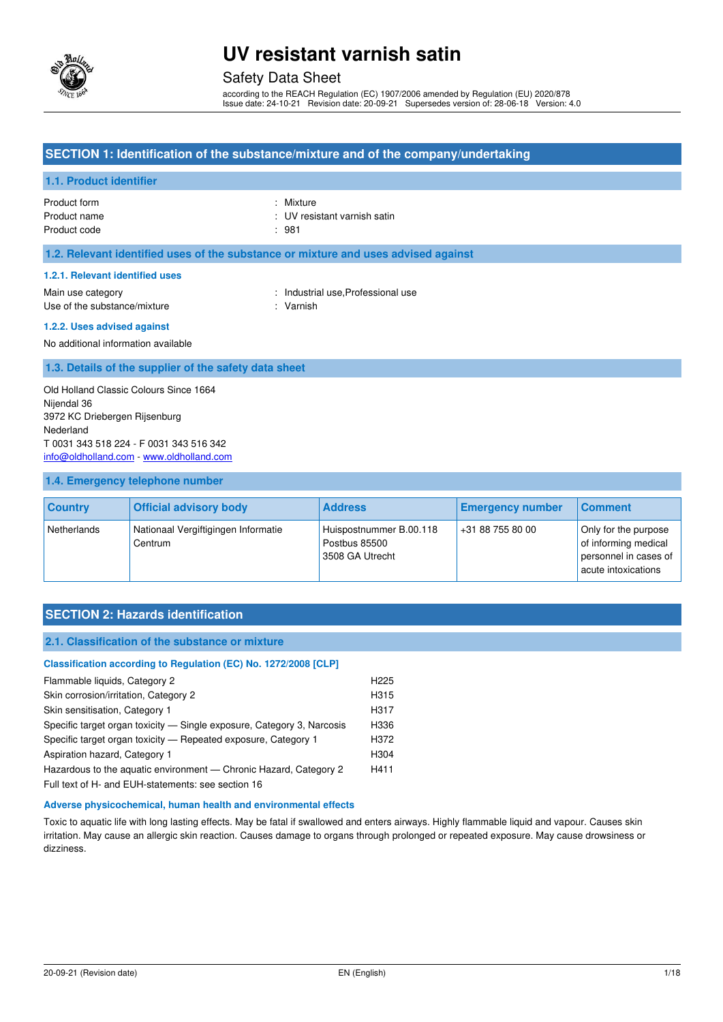

### Safety Data Sheet

according to the REACH Regulation (EC) 1907/2006 amended by Regulation (EU) 2020/878 Issue date: 24-10-21 Revision date: 20-09-21 Supersedes version of: 28-06-18 Version: 4.0

### **SECTION 1: Identification of the substance/mixture and of the company/undertaking**

#### **1.1. Product identifier**

Product form : Nixture : Nixture Product code : 981

Product name **in the set of the set of the set of the set of the set of the set of the set of the set of the set of the set of the set of the set of the set of the set of the set of the set of the set of the set of the set** 

#### **1.2. Relevant identified uses of the substance or mixture and uses advised against**

#### **1.2.1. Relevant identified uses**

Main use category **Example 20** and the United States of the Industrial use, Professional use Use of the substance/mixture : Varnish

#### **1.2.2. Uses advised against**

No additional information available

#### **1.3. Details of the supplier of the safety data sheet**

Old Holland Classic Colours Since 1664 Nijendal 36 3972 KC Driebergen Rijsenburg Nederland T 0031 343 518 224 - F 0031 343 516 342 [info@oldholland.com](mailto:info@oldholland.com) - [www.oldholland.com](http://www.oldholland.com/)

#### **1.4. Emergency telephone number**

| <b>Country</b> | <b>Official advisory body</b>                  | <b>Address</b>                                              | <b>Emergency number</b> | <b>Comment</b>                                                                               |
|----------------|------------------------------------------------|-------------------------------------------------------------|-------------------------|----------------------------------------------------------------------------------------------|
| Netherlands    | Nationaal Vergiftigingen Informatie<br>Centrum | Huispostnummer B.00.118<br>Postbus 85500<br>3508 GA Utrecht | +31 88 755 80 00        | Only for the purpose<br>of informing medical<br>personnel in cases of<br>acute intoxications |

### **SECTION 2: Hazards identification**

#### **2.1. Classification of the substance or mixture**

#### **Classification according to Regulation (EC) No. 1272/2008 [CLP]**

| Flammable liquids, Category 2                                          | H <sub>225</sub> |
|------------------------------------------------------------------------|------------------|
| Skin corrosion/irritation, Category 2                                  | H315             |
| Skin sensitisation, Category 1                                         | H317             |
| Specific target organ toxicity — Single exposure, Category 3, Narcosis | H336             |
| Specific target organ toxicity - Repeated exposure, Category 1         | H372             |
| Aspiration hazard, Category 1                                          | H304             |
| Hazardous to the aguatic environment — Chronic Hazard, Category 2      | H411             |
| Full toyt of H <sub>r</sub> and FUH-statements: see section 16         |                  |

Full text of H- and EUH-statements: see section 16

#### **Adverse physicochemical, human health and environmental effects**

Toxic to aquatic life with long lasting effects. May be fatal if swallowed and enters airways. Highly flammable liquid and vapour. Causes skin irritation. May cause an allergic skin reaction. Causes damage to organs through prolonged or repeated exposure. May cause drowsiness or dizziness.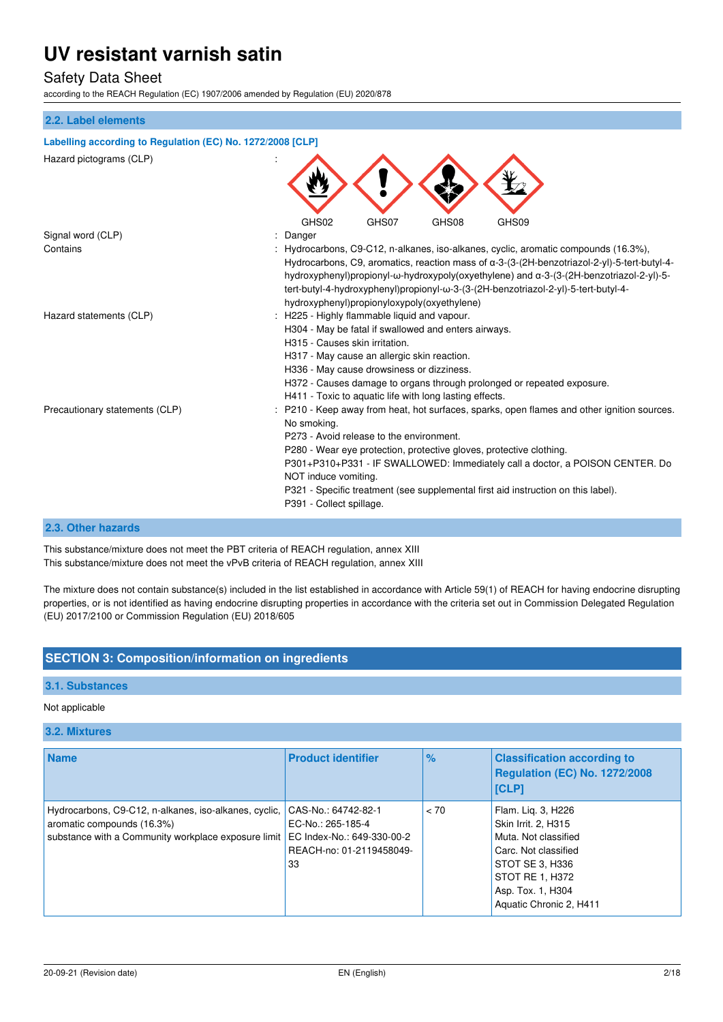### Safety Data Sheet

according to the REACH Regulation (EC) 1907/2006 amended by Regulation (EU) 2020/878

# **2.2. Label elements Labelling according to Regulation (EC) No. 1272/2008 [CLP]**  Hazard pictograms (CLP) : GHS02 GHS07 GHS08 GHS09 Signal word (CLP)  $\qquad \qquad$ : Danger Contains : Hydrocarbons, C9-C12, n-alkanes, iso-alkanes, cyclic, aromatic compounds (16.3%), Hydrocarbons, C9, aromatics, reaction mass of α-3-(3-(2H-benzotriazol-2-yl)-5-tert-butyl-4 hydroxyphenyl)propionyl-ω-hydroxypoly(oxyethylene) and α-3-(3-(2H-benzotriazol-2-yl)-5 tert-butyl-4-hydroxyphenyl)propionyl-ω-3-(3-(2H-benzotriazol-2-yl)-5-tert-butyl-4 hydroxyphenyl)propionyloxypoly(oxyethylene) Hazard statements (CLP) : H225 - Highly flammable liquid and vapour. H304 - May be fatal if swallowed and enters airways. H315 - Causes skin irritation. H317 - May cause an allergic skin reaction.

No smoking.

NOT induce vomiting.

P391 - Collect spillage.

Precautionary statements (CLP) : P210 - Keep away from heat, hot surfaces, sparks, open flames and other ignition sources.

#### **2.3. Other hazards**

This substance/mixture does not meet the PBT criteria of REACH regulation, annex XIII This substance/mixture does not meet the vPvB criteria of REACH regulation, annex XIII

The mixture does not contain substance(s) included in the list established in accordance with Article 59(1) of REACH for having endocrine disrupting properties, or is not identified as having endocrine disrupting properties in accordance with the criteria set out in Commission Delegated Regulation (EU) 2017/2100 or Commission Regulation (EU) 2018/605

H336 - May cause drowsiness or dizziness.

P273 - Avoid release to the environment.

H411 - Toxic to aquatic life with long lasting effects.

H372 - Causes damage to organs through prolonged or repeated exposure.

P321 - Specific treatment (see supplemental first aid instruction on this label).

P301+P310+P331 - IF SWALLOWED: Immediately call a doctor, a POISON CENTER. Do

P280 - Wear eye protection, protective gloves, protective clothing.

### **SECTION 3: Composition/information on ingredients**

#### **3.1. Substances**

#### Not applicable

#### **3.2. Mixtures**

| <b>Name</b>                                                                                                                                | <b>Product identifier</b>                                                                                | $\%$ | <b>Classification according to</b><br><b>Regulation (EC) No. 1272/2008</b><br>[CLP]                                                                                             |
|--------------------------------------------------------------------------------------------------------------------------------------------|----------------------------------------------------------------------------------------------------------|------|---------------------------------------------------------------------------------------------------------------------------------------------------------------------------------|
| Hydrocarbons, C9-C12, n-alkanes, iso-alkanes, cyclic,<br>aromatic compounds (16.3%)<br>substance with a Community workplace exposure limit | CAS-No.: 64742-82-1<br>EC-No.: 265-185-4<br>EC Index-No.: 649-330-00-2<br>REACH-no: 01-2119458049-<br>33 | < 70 | Flam. Lig. 3, H226<br>Skin Irrit. 2, H315<br>Muta. Not classified<br>Carc. Not classified<br>STOT SE 3, H336<br>STOT RE 1, H372<br>Asp. Tox. 1, H304<br>Aquatic Chronic 2, H411 |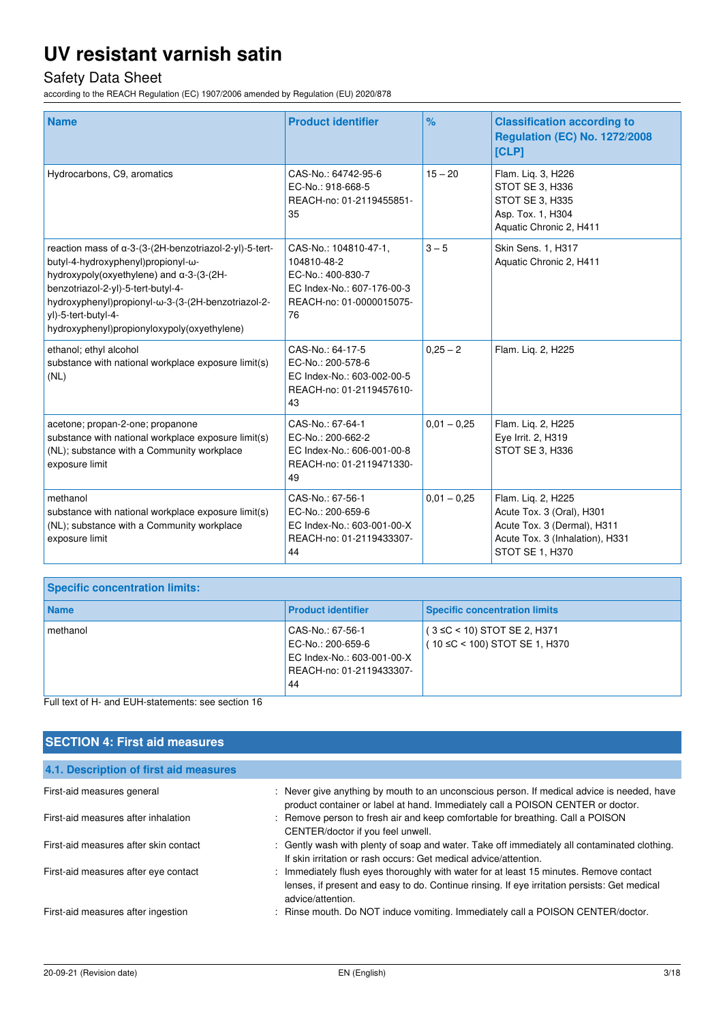# Safety Data Sheet

according to the REACH Regulation (EC) 1907/2006 amended by Regulation (EU) 2020/878

| <b>Name</b><br>Hydrocarbons, C9, aromatics                                                                                                                                                                                                                                                                 | <b>Product identifier</b><br>CAS-No.: 64742-95-6<br>EC-No.: 918-668-5                                                     | $\%$<br>$15 - 20$ | <b>Classification according to</b><br><b>Regulation (EC) No. 1272/2008</b><br><b>[CLP]</b><br>Flam. Lig. 3, H226<br>STOT SE 3, H336  |
|------------------------------------------------------------------------------------------------------------------------------------------------------------------------------------------------------------------------------------------------------------------------------------------------------------|---------------------------------------------------------------------------------------------------------------------------|-------------------|--------------------------------------------------------------------------------------------------------------------------------------|
|                                                                                                                                                                                                                                                                                                            | REACH-no: 01-2119455851-<br>35                                                                                            |                   | STOT SE 3, H335<br>Asp. Tox. 1, H304<br>Aquatic Chronic 2, H411                                                                      |
| reaction mass of a-3-(3-(2H-benzotriazol-2-yl)-5-tert-<br>butyl-4-hydroxyphenyl)propionyl-ω-<br>hydroxypoly(oxyethylene) and α-3-(3-(2H-<br>benzotriazol-2-yl)-5-tert-butyl-4-<br>hydroxyphenyl)propionyl-ω-3-(3-(2H-benzotriazol-2-<br>yl)-5-tert-butyl-4-<br>hydroxyphenyl)propionyloxypoly(oxyethylene) | CAS-No.: 104810-47-1,<br>104810-48-2<br>EC-No.: 400-830-7<br>EC Index-No.: 607-176-00-3<br>REACH-no: 01-0000015075-<br>76 | $3 - 5$           | Skin Sens. 1, H317<br>Aquatic Chronic 2, H411                                                                                        |
| ethanol; ethyl alcohol<br>substance with national workplace exposure limit(s)<br>(NL)                                                                                                                                                                                                                      | CAS-No.: 64-17-5<br>EC-No.: 200-578-6<br>EC Index-No.: 603-002-00-5<br>REACH-no: 01-2119457610-<br>43                     | $0.25 - 2$        | Flam. Lig. 2, H225                                                                                                                   |
| acetone; propan-2-one; propanone<br>substance with national workplace exposure limit(s)<br>(NL); substance with a Community workplace<br>exposure limit                                                                                                                                                    | CAS-No.: 67-64-1<br>EC-No.: 200-662-2<br>EC Index-No.: 606-001-00-8<br>REACH-no: 01-2119471330-<br>49                     | $0,01 - 0,25$     | Flam. Liq. 2, H225<br>Eye Irrit. 2, H319<br>STOT SE 3, H336                                                                          |
| methanol<br>substance with national workplace exposure limit(s)<br>(NL); substance with a Community workplace<br>exposure limit                                                                                                                                                                            | CAS-No.: 67-56-1<br>EC-No.: 200-659-6<br>EC Index-No.: 603-001-00-X<br>REACH-no: 01-2119433307-<br>44                     | $0,01 - 0,25$     | Flam. Liq. 2, H225<br>Acute Tox. 3 (Oral), H301<br>Acute Tox. 3 (Dermal), H311<br>Acute Tox. 3 (Inhalation), H331<br>STOT SE 1, H370 |

| <b>Specific concentration limits:</b> |                                                                                                       |                                                                         |
|---------------------------------------|-------------------------------------------------------------------------------------------------------|-------------------------------------------------------------------------|
| <b>Name</b>                           | <b>Product identifier</b>                                                                             | <b>Specific concentration limits</b>                                    |
| methanol                              | CAS-No.: 67-56-1<br>EC-No.: 200-659-6<br>EC Index-No.: 603-001-00-X<br>REACH-no: 01-2119433307-<br>44 | $(3 \leq C < 10)$ STOT SE 2, H371<br>$(10 \le C < 100)$ STOT SE 1, H370 |

Full text of H- and EUH-statements: see section 16

| <b>SECTION 4: First aid measures</b>   |                                                                                                                                                                                                             |
|----------------------------------------|-------------------------------------------------------------------------------------------------------------------------------------------------------------------------------------------------------------|
| 4.1. Description of first aid measures |                                                                                                                                                                                                             |
| First-aid measures general             | : Never give anything by mouth to an unconscious person. If medical advice is needed, have<br>product container or label at hand. Immediately call a POISON CENTER or doctor.                               |
| First-aid measures after inhalation    | : Remove person to fresh air and keep comfortable for breathing. Call a POISON<br>CENTER/doctor if you feel unwell.                                                                                         |
| First-aid measures after skin contact  | : Gently wash with plenty of soap and water. Take off immediately all contaminated clothing.<br>If skin irritation or rash occurs: Get medical advice/attention.                                            |
| First-aid measures after eye contact   | : Immediately flush eyes thoroughly with water for at least 15 minutes. Remove contact<br>lenses, if present and easy to do. Continue rinsing. If eye irritation persists: Get medical<br>advice/attention. |
| First-aid measures after ingestion     | : Rinse mouth. Do NOT induce vomiting. Immediately call a POISON CENTER/doctor.                                                                                                                             |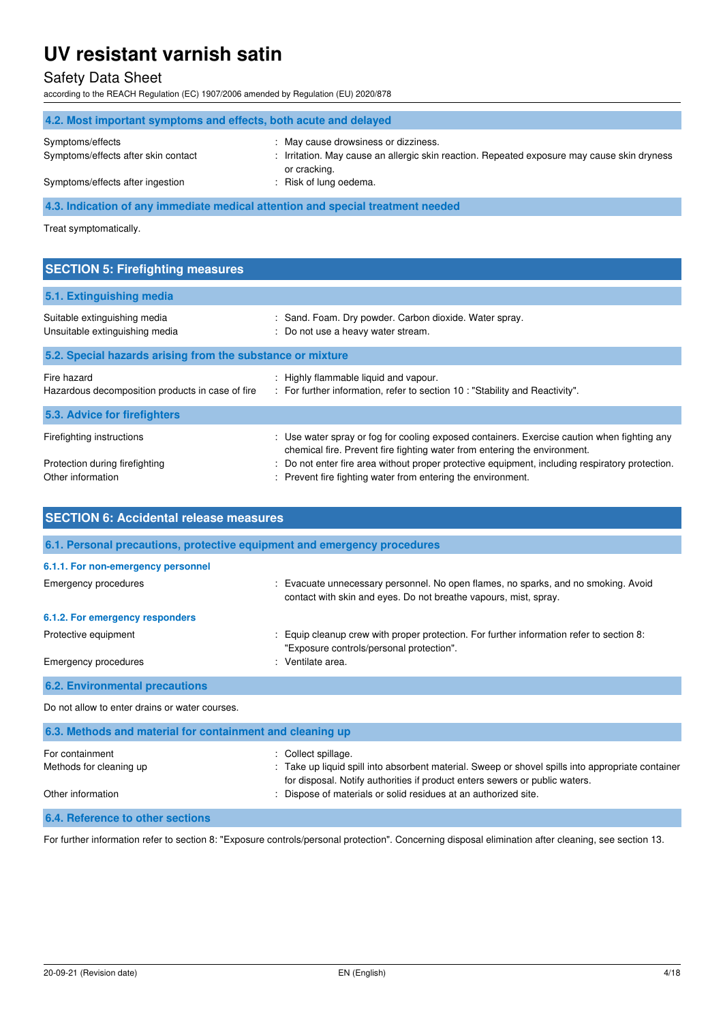# Safety Data Sheet

according to the REACH Regulation (EC) 1907/2006 amended by Regulation (EU) 2020/878

| 4.2. Most important symptoms and effects, both acute and delayed                |                                                                                                             |  |
|---------------------------------------------------------------------------------|-------------------------------------------------------------------------------------------------------------|--|
| Symptoms/effects                                                                | : May cause drowsiness or dizziness.                                                                        |  |
| Symptoms/effects after skin contact                                             | : Irritation. May cause an allergic skin reaction. Repeated exposure may cause skin dryness<br>or cracking. |  |
| Symptoms/effects after ingestion                                                | : Risk of lung oedema.                                                                                      |  |
| 4.3. Indication of any immediate medical attention and special treatment needed |                                                                                                             |  |

Treat symptomatically.

| <b>SECTION 5: Firefighting measures</b> |                                                        |  |
|-----------------------------------------|--------------------------------------------------------|--|
| 5.1. Extinguishing media                |                                                        |  |
| Suitable extinguishing media            | : Sand. Foam. Dry powder. Carbon dioxide. Water spray. |  |

| Unsuitable extinguishing media                                  | : Do not use a heavy water stream.                                                                                                                                       |
|-----------------------------------------------------------------|--------------------------------------------------------------------------------------------------------------------------------------------------------------------------|
| 5.2. Special hazards arising from the substance or mixture      |                                                                                                                                                                          |
| Fire hazard<br>Hazardous decomposition products in case of fire | : Highly flammable liquid and vapour.<br>: For further information, refer to section 10 : "Stability and Reactivity".                                                    |
| 5.3. Advice for firefighters                                    |                                                                                                                                                                          |
| Firefighting instructions                                       | : Use water spray or fog for cooling exposed containers. Exercise caution when fighting any<br>chemical fire. Prevent fire fighting water from entering the environment. |
| Protection during firefighting<br>Other information             | : Do not enter fire area without proper protective equipment, including respiratory protection.<br>: Prevent fire fighting water from entering the environment.          |

| <b>SECTION 6: Accidental release measures</b>                            |                                                                                                                                                                                                                                                                            |  |
|--------------------------------------------------------------------------|----------------------------------------------------------------------------------------------------------------------------------------------------------------------------------------------------------------------------------------------------------------------------|--|
| 6.1. Personal precautions, protective equipment and emergency procedures |                                                                                                                                                                                                                                                                            |  |
| 6.1.1. For non-emergency personnel                                       |                                                                                                                                                                                                                                                                            |  |
| Emergency procedures                                                     | : Evacuate unnecessary personnel. No open flames, no sparks, and no smoking. Avoid<br>contact with skin and eyes. Do not breathe vapours, mist, spray.                                                                                                                     |  |
| 6.1.2. For emergency responders                                          |                                                                                                                                                                                                                                                                            |  |
| Protective equipment                                                     | : Equip cleanup crew with proper protection. For further information refer to section 8:<br>"Exposure controls/personal protection".                                                                                                                                       |  |
| Emergency procedures                                                     | : Ventilate area.                                                                                                                                                                                                                                                          |  |
| <b>6.2. Environmental precautions</b>                                    |                                                                                                                                                                                                                                                                            |  |
| Do not allow to enter drains or water courses.                           |                                                                                                                                                                                                                                                                            |  |
| 6.3. Methods and material for containment and cleaning up                |                                                                                                                                                                                                                                                                            |  |
| For containment<br>Methods for cleaning up<br>Other information          | : Collect spillage.<br>: Take up liquid spill into absorbent material. Sweep or shovel spills into appropriate container<br>for disposal. Notify authorities if product enters sewers or public waters.<br>: Dispose of materials or solid residues at an authorized site. |  |
| 6.4. Reference to other sections                                         |                                                                                                                                                                                                                                                                            |  |

For further information refer to section 8: "Exposure controls/personal protection". Concerning disposal elimination after cleaning, see section 13.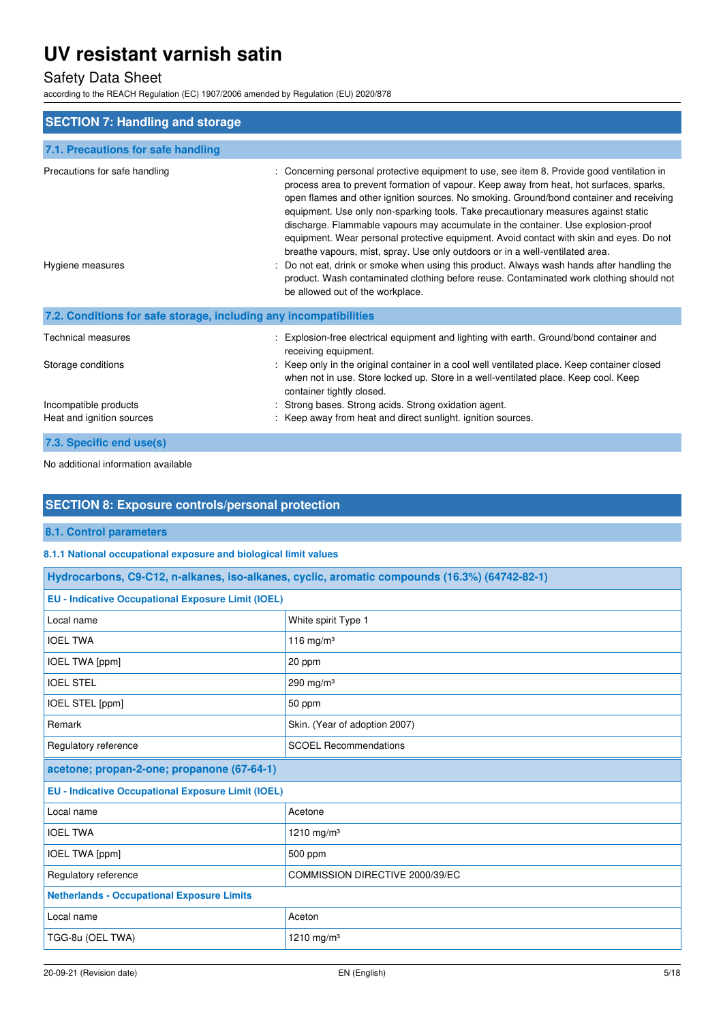# Safety Data Sheet

according to the REACH Regulation (EC) 1907/2006 amended by Regulation (EU) 2020/878

| <b>SECTION 7: Handling and storage</b>                            |                                                                                                                                                                                                                                                                                                                                                                                                                                                                                                                                                                                                                                                                                                                                                                                                                                                                  |  |
|-------------------------------------------------------------------|------------------------------------------------------------------------------------------------------------------------------------------------------------------------------------------------------------------------------------------------------------------------------------------------------------------------------------------------------------------------------------------------------------------------------------------------------------------------------------------------------------------------------------------------------------------------------------------------------------------------------------------------------------------------------------------------------------------------------------------------------------------------------------------------------------------------------------------------------------------|--|
| 7.1. Precautions for safe handling                                |                                                                                                                                                                                                                                                                                                                                                                                                                                                                                                                                                                                                                                                                                                                                                                                                                                                                  |  |
| Precautions for safe handling<br>Hygiene measures                 | Concerning personal protective equipment to use, see item 8. Provide good ventilation in<br>process area to prevent formation of vapour. Keep away from heat, hot surfaces, sparks,<br>open flames and other ignition sources. No smoking. Ground/bond container and receiving<br>equipment. Use only non-sparking tools. Take precautionary measures against static<br>discharge. Flammable vapours may accumulate in the container. Use explosion-proof<br>equipment. Wear personal protective equipment. Avoid contact with skin and eyes. Do not<br>breathe vapours, mist, spray. Use only outdoors or in a well-ventilated area.<br>Do not eat, drink or smoke when using this product. Always wash hands after handling the<br>product. Wash contaminated clothing before reuse. Contaminated work clothing should not<br>be allowed out of the workplace. |  |
| 7.2. Conditions for safe storage, including any incompatibilities |                                                                                                                                                                                                                                                                                                                                                                                                                                                                                                                                                                                                                                                                                                                                                                                                                                                                  |  |
| <b>Technical measures</b><br>Storage conditions                   | Explosion-free electrical equipment and lighting with earth. Ground/bond container and<br>receiving equipment.<br>Keep only in the original container in a cool well ventilated place. Keep container closed<br>when not in use. Store locked up. Store in a well-ventilated place. Keep cool. Keep<br>container tightly closed.                                                                                                                                                                                                                                                                                                                                                                                                                                                                                                                                 |  |
| Incompatible products<br>Heat and ignition sources                | Strong bases. Strong acids. Strong oxidation agent.<br>Keep away from heat and direct sunlight, ignition sources.                                                                                                                                                                                                                                                                                                                                                                                                                                                                                                                                                                                                                                                                                                                                                |  |
| 7.3. Specific end use(s)                                          |                                                                                                                                                                                                                                                                                                                                                                                                                                                                                                                                                                                                                                                                                                                                                                                                                                                                  |  |

No additional information available

### **SECTION 8: Exposure controls/personal protection**

**8.1. Control parameters** 

Г

#### **8.1.1 National occupational exposure and biological limit values**

| Hydrocarbons, C9-C12, n-alkanes, iso-alkanes, cyclic, aromatic compounds (16.3%) (64742-82-1) |                                 |
|-----------------------------------------------------------------------------------------------|---------------------------------|
| <b>EU - Indicative Occupational Exposure Limit (IOEL)</b>                                     |                                 |
| Local name                                                                                    | White spirit Type 1             |
| <b>IOEL TWA</b>                                                                               | 116 mg/m $3$                    |
| IOEL TWA [ppm]                                                                                | 20 ppm                          |
| <b>IOEL STEL</b>                                                                              | 290 mg/m $3$                    |
| IOEL STEL [ppm]                                                                               | 50 ppm                          |
| Remark                                                                                        | Skin. (Year of adoption 2007)   |
| Regulatory reference                                                                          | <b>SCOEL Recommendations</b>    |
| acetone; propan-2-one; propanone (67-64-1)                                                    |                                 |
| <b>EU - Indicative Occupational Exposure Limit (IOEL)</b>                                     |                                 |
| Local name                                                                                    | Acetone                         |
| <b>IOEL TWA</b>                                                                               | 1210 mg/m <sup>3</sup>          |
| IOEL TWA [ppm]                                                                                | 500 ppm                         |
| Regulatory reference                                                                          | COMMISSION DIRECTIVE 2000/39/EC |
| <b>Netherlands - Occupational Exposure Limits</b>                                             |                                 |
| Local name                                                                                    | Aceton                          |
| TGG-8u (OEL TWA)                                                                              | 1210 mg/m <sup>3</sup>          |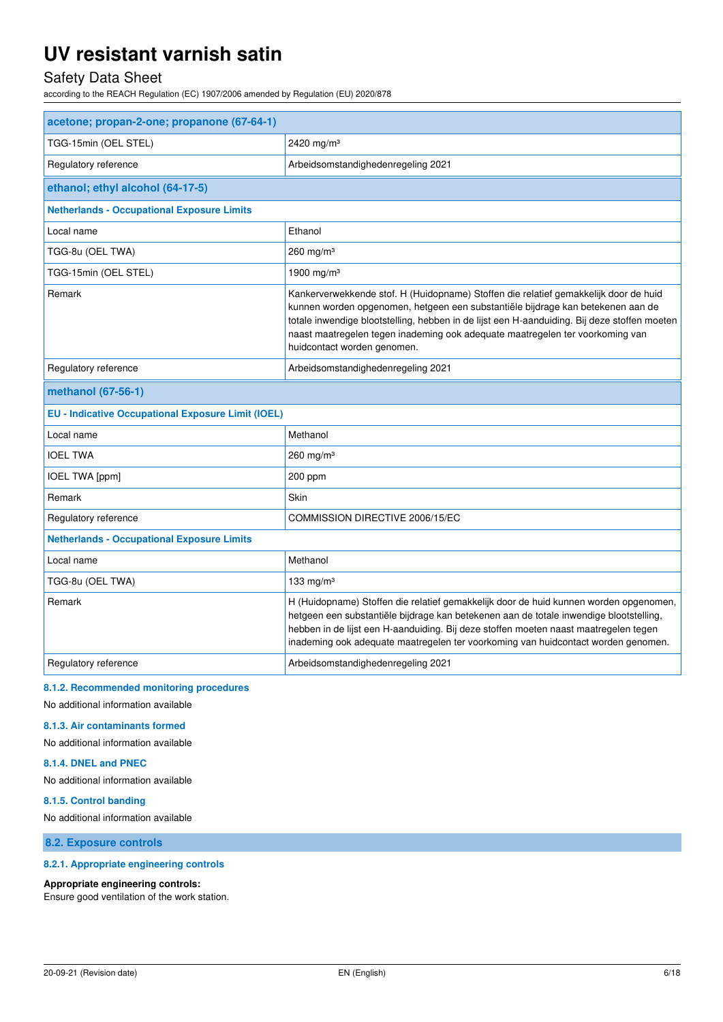# Safety Data Sheet

according to the REACH Regulation (EC) 1907/2006 amended by Regulation (EU) 2020/878

| acetone; propan-2-one; propanone (67-64-1)                |                                                                                                                                                                                                                                                                                                                                                                                         |  |  |
|-----------------------------------------------------------|-----------------------------------------------------------------------------------------------------------------------------------------------------------------------------------------------------------------------------------------------------------------------------------------------------------------------------------------------------------------------------------------|--|--|
| TGG-15min (OEL STEL)                                      | 2420 mg/m <sup>3</sup>                                                                                                                                                                                                                                                                                                                                                                  |  |  |
| Regulatory reference                                      | Arbeidsomstandighedenregeling 2021                                                                                                                                                                                                                                                                                                                                                      |  |  |
| ethanol; ethyl alcohol (64-17-5)                          |                                                                                                                                                                                                                                                                                                                                                                                         |  |  |
| <b>Netherlands - Occupational Exposure Limits</b>         |                                                                                                                                                                                                                                                                                                                                                                                         |  |  |
| Local name                                                | Ethanol                                                                                                                                                                                                                                                                                                                                                                                 |  |  |
| TGG-8u (OEL TWA)                                          | $260$ mg/m <sup>3</sup>                                                                                                                                                                                                                                                                                                                                                                 |  |  |
| TGG-15min (OEL STEL)                                      | 1900 mg/m <sup>3</sup>                                                                                                                                                                                                                                                                                                                                                                  |  |  |
| Remark                                                    | Kankerverwekkende stof. H (Huidopname) Stoffen die relatief gemakkelijk door de huid<br>kunnen worden opgenomen, hetgeen een substantiële bijdrage kan betekenen aan de<br>totale inwendige blootstelling, hebben in de lijst een H-aanduiding. Bij deze stoffen moeten<br>naast maatregelen tegen inademing ook adequate maatregelen ter voorkoming van<br>huidcontact worden genomen. |  |  |
| Regulatory reference                                      | Arbeidsomstandighedenregeling 2021                                                                                                                                                                                                                                                                                                                                                      |  |  |
| methanol (67-56-1)                                        |                                                                                                                                                                                                                                                                                                                                                                                         |  |  |
| <b>EU - Indicative Occupational Exposure Limit (IOEL)</b> |                                                                                                                                                                                                                                                                                                                                                                                         |  |  |
| Local name                                                | Methanol                                                                                                                                                                                                                                                                                                                                                                                |  |  |
| <b>IOEL TWA</b>                                           | $260$ mg/m <sup>3</sup>                                                                                                                                                                                                                                                                                                                                                                 |  |  |
| <b>IOEL TWA [ppm]</b>                                     | 200 ppm                                                                                                                                                                                                                                                                                                                                                                                 |  |  |
| Remark                                                    | Skin                                                                                                                                                                                                                                                                                                                                                                                    |  |  |
| Regulatory reference                                      | COMMISSION DIRECTIVE 2006/15/EC                                                                                                                                                                                                                                                                                                                                                         |  |  |
| <b>Netherlands - Occupational Exposure Limits</b>         |                                                                                                                                                                                                                                                                                                                                                                                         |  |  |
| Local name                                                | Methanol                                                                                                                                                                                                                                                                                                                                                                                |  |  |
| TGG-8u (OEL TWA)                                          | 133 mg/m $3$                                                                                                                                                                                                                                                                                                                                                                            |  |  |
| Remark                                                    | H (Huidopname) Stoffen die relatief gemakkelijk door de huid kunnen worden opgenomen,<br>hetgeen een substantiële bijdrage kan betekenen aan de totale inwendige blootstelling,<br>hebben in de lijst een H-aanduiding. Bij deze stoffen moeten naast maatregelen tegen<br>inademing ook adequate maatregelen ter voorkoming van huidcontact worden genomen.                            |  |  |
| Regulatory reference                                      | Arbeidsomstandighedenregeling 2021                                                                                                                                                                                                                                                                                                                                                      |  |  |
|                                                           |                                                                                                                                                                                                                                                                                                                                                                                         |  |  |

#### **8.1.2. Recommended monitoring procedures**

No additional information available

#### **8.1.3. Air contaminants formed**

No additional information available

#### **8.1.4. DNEL and PNEC**

No additional information available

#### **8.1.5. Control banding**

No additional information available

**8.2. Exposure controls** 

#### **8.2.1. Appropriate engineering controls**

#### **Appropriate engineering controls:**

Ensure good ventilation of the work station.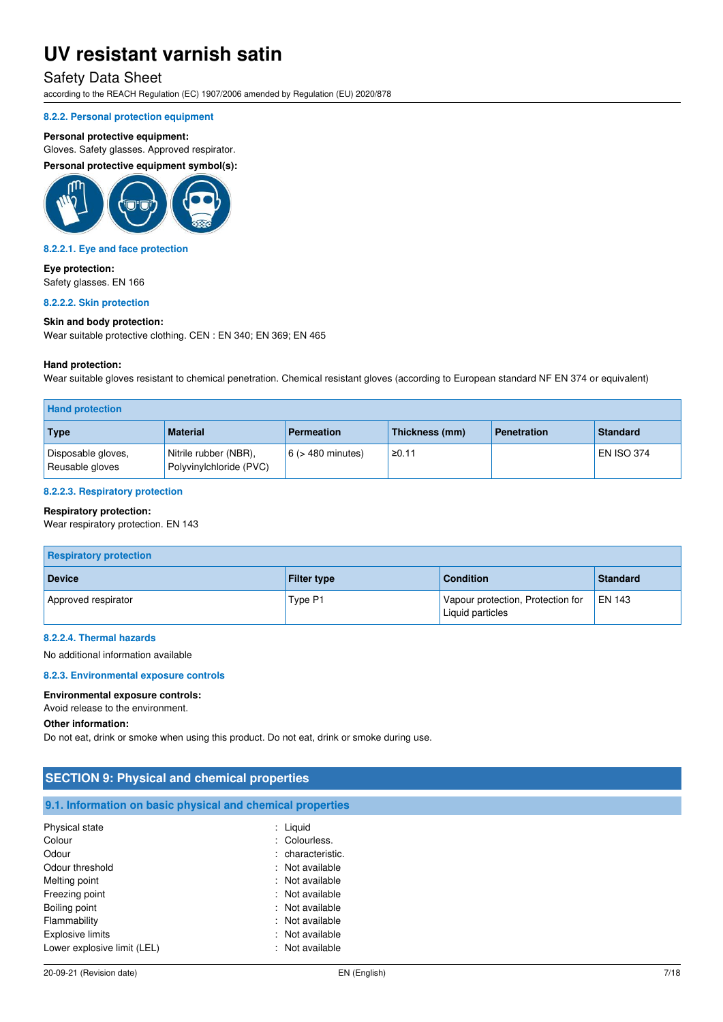### Safety Data Sheet

according to the REACH Regulation (EC) 1907/2006 amended by Regulation (EU) 2020/878

#### **8.2.2. Personal protection equipment**

#### **Personal protective equipment:**

Gloves. Safety glasses. Approved respirator.

**Personal protective equipment symbol(s):** 



#### **8.2.2.1. Eye and face protection**

**Eye protection:**  Safety glasses. EN 166

#### **8.2.2.2. Skin protection**

#### **Skin and body protection:**

Wear suitable protective clothing. CEN : EN 340; EN 369; EN 465

#### **Hand protection:**

Wear suitable gloves resistant to chemical penetration. Chemical resistant gloves (according to European standard NF EN 374 or equivalent)

| <b>Hand protection</b>                |                                                  |                        |                |                    |                   |
|---------------------------------------|--------------------------------------------------|------------------------|----------------|--------------------|-------------------|
| Type                                  | <b>Material</b>                                  | <b>Permeation</b>      | Thickness (mm) | <b>Penetration</b> | <b>Standard</b>   |
| Disposable gloves,<br>Reusable gloves | Nitrile rubber (NBR),<br>Polyvinylchloride (PVC) | $6$ ( $>$ 480 minutes) | ≥0.11          |                    | <b>EN ISO 374</b> |

#### **8.2.2.3. Respiratory protection**

#### **Respiratory protection:**

Wear respiratory protection. EN 143

| <b>Respiratory protection</b> |                    |                                                       |               |  |  |
|-------------------------------|--------------------|-------------------------------------------------------|---------------|--|--|
| <b>Device</b>                 | <b>Filter type</b> | <b>Condition</b>                                      | Standard      |  |  |
| Approved respirator           | Type P1            | Vapour protection, Protection for<br>Liquid particles | <b>EN 143</b> |  |  |

### **8.2.2.4. Thermal hazards**

No additional information available

#### **8.2.3. Environmental exposure controls**

#### **Environmental exposure controls:**

Avoid release to the environment.

#### **Other information:**

Do not eat, drink or smoke when using this product. Do not eat, drink or smoke during use.

| <b>SECTION 9: Physical and chemical properties</b>         |                   |  |  |
|------------------------------------------------------------|-------------------|--|--|
| 9.1. Information on basic physical and chemical properties |                   |  |  |
| Physical state                                             | : Liquid          |  |  |
| Colour                                                     | : Colourless.     |  |  |
| Odour                                                      | : characteristic. |  |  |
| Odour threshold                                            | : Not available   |  |  |
| Melting point                                              | : Not available   |  |  |
| Freezing point                                             | : Not available   |  |  |
| Boiling point                                              | : Not available   |  |  |
| Flammability                                               | : Not available   |  |  |
| <b>Explosive limits</b>                                    | : Not available   |  |  |
| Lower explosive limit (LEL)                                | : Not available   |  |  |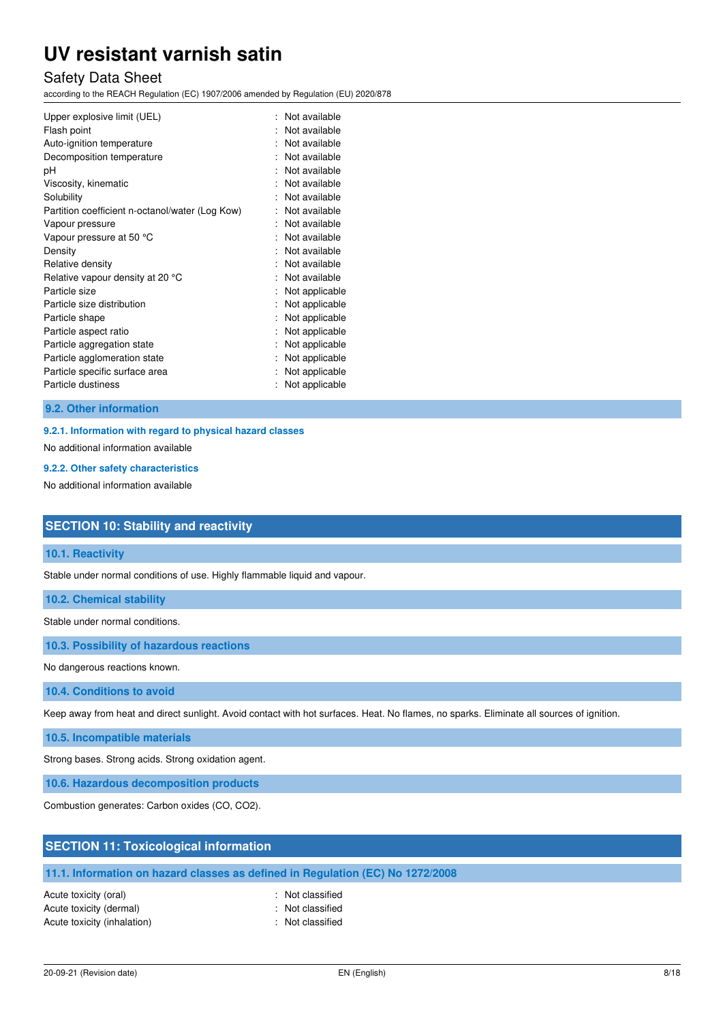### Safety Data Sheet

according to the REACH Regulation (EC) 1907/2006 amended by Regulation (EU) 2020/878

| Upper explosive limit (UEL)<br>Flash point<br>Auto-ignition temperature | Not available<br>Not available<br>Not available |
|-------------------------------------------------------------------------|-------------------------------------------------|
| Decomposition temperature                                               | Not available                                   |
| рH                                                                      | Not available                                   |
| Viscosity, kinematic                                                    | Not available                                   |
| Solubility                                                              | Not available                                   |
| Partition coefficient n-octanol/water (Log Kow)                         | Not available                                   |
| Vapour pressure                                                         | Not available                                   |
| Vapour pressure at 50 °C                                                | Not available                                   |
| Density                                                                 | Not available                                   |
| Relative density                                                        | Not available                                   |
| Relative vapour density at 20 °C                                        | Not available                                   |
| Particle size                                                           | Not applicable                                  |
| Particle size distribution                                              | Not applicable                                  |
| Particle shape                                                          | Not applicable                                  |
| Particle aspect ratio                                                   | Not applicable                                  |
| Particle aggregation state                                              | Not applicable                                  |
| Particle agglomeration state                                            | Not applicable                                  |
| Particle specific surface area                                          | Not applicable                                  |
| Particle dustiness                                                      | Not applicable                                  |

#### **9.2. Other information**

#### **9.2.1. Information with regard to physical hazard classes**

No additional information available

#### **9.2.2. Other safety characteristics**

No additional information available

### **SECTION 10: Stability and reactivity**

#### **10.1. Reactivity**

Stable under normal conditions of use. Highly flammable liquid and vapour.

**10.2. Chemical stability** 

Stable under normal conditions.

**10.3. Possibility of hazardous reactions** 

No dangerous reactions known.

**10.4. Conditions to avoid** 

Keep away from heat and direct sunlight. Avoid contact with hot surfaces. Heat. No flames, no sparks. Eliminate all sources of ignition.

**10.5. Incompatible materials** 

Strong bases. Strong acids. Strong oxidation agent.

**10.6. Hazardous decomposition products** 

Combustion generates: Carbon oxides (CO, CO2).

### **SECTION 11: Toxicological information**

### **11.1. Information on hazard classes as defined in Regulation (EC) No 1272/2008**

Acute toxicity (oral) **Example 2** Constant Acute toxicity (oral) Acute toxicity (dermal) **Example 2** Contract 2 Contract 2 Contract 2 Contract 2 Contract 2 Contract 2 Contract 2 Contract 2 Contract 2 Contract 2 Contract 2 Contract 2 Contract 2 Contract 2 Contract 2 Contract 2 Contract 2 Acute toxicity (inhalation) **Example 2** Control 2 Control 2 Control 2 Control 2 Control 2 Control 2 Control 2 Control 2 Control 2 Control 2 Control 2 Control 2 Control 2 Control 2 Control 2 Control 2 Control 2 Control 2 Co

- 
-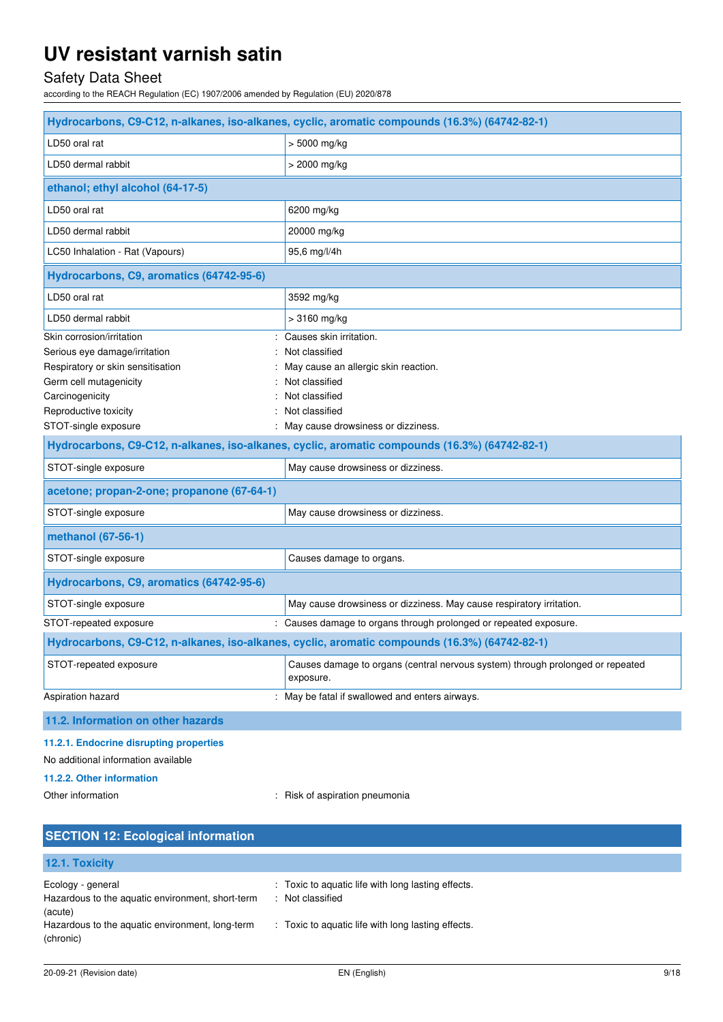# Safety Data Sheet

according to the REACH Regulation (EC) 1907/2006 amended by Regulation (EU) 2020/878

| Hydrocarbons, C9-C12, n-alkanes, iso-alkanes, cyclic, aromatic compounds (16.3%) (64742-82-1) |                                                                                               |  |  |
|-----------------------------------------------------------------------------------------------|-----------------------------------------------------------------------------------------------|--|--|
| LD50 oral rat                                                                                 | > 5000 mg/kg                                                                                  |  |  |
| LD50 dermal rabbit                                                                            | > 2000 mg/kg                                                                                  |  |  |
| ethanol; ethyl alcohol (64-17-5)                                                              |                                                                                               |  |  |
| LD50 oral rat                                                                                 | 6200 mg/kg                                                                                    |  |  |
| LD50 dermal rabbit                                                                            | 20000 mg/kg                                                                                   |  |  |
| LC50 Inhalation - Rat (Vapours)                                                               | 95,6 mg/l/4h                                                                                  |  |  |
| Hydrocarbons, C9, aromatics (64742-95-6)                                                      |                                                                                               |  |  |
| LD50 oral rat                                                                                 | 3592 mg/kg                                                                                    |  |  |
| LD50 dermal rabbit                                                                            | $>3160$ mg/kg                                                                                 |  |  |
| Skin corrosion/irritation                                                                     | Causes skin irritation.                                                                       |  |  |
| Serious eye damage/irritation                                                                 | Not classified                                                                                |  |  |
| Respiratory or skin sensitisation                                                             | May cause an allergic skin reaction.                                                          |  |  |
| Germ cell mutagenicity                                                                        | Not classified                                                                                |  |  |
| Carcinogenicity                                                                               | Not classified                                                                                |  |  |
| Reproductive toxicity                                                                         | Not classified                                                                                |  |  |
| STOT-single exposure                                                                          | : May cause drowsiness or dizziness.                                                          |  |  |
|                                                                                               | Hydrocarbons, C9-C12, n-alkanes, iso-alkanes, cyclic, aromatic compounds (16.3%) (64742-82-1) |  |  |
| STOT-single exposure                                                                          | May cause drowsiness or dizziness.                                                            |  |  |
| acetone; propan-2-one; propanone (67-64-1)                                                    |                                                                                               |  |  |
| STOT-single exposure                                                                          | May cause drowsiness or dizziness.                                                            |  |  |
| methanol (67-56-1)                                                                            |                                                                                               |  |  |
| STOT-single exposure                                                                          | Causes damage to organs.                                                                      |  |  |
| Hydrocarbons, C9, aromatics (64742-95-6)                                                      |                                                                                               |  |  |
| STOT-single exposure                                                                          | May cause drowsiness or dizziness. May cause respiratory irritation.                          |  |  |
| STOT-repeated exposure                                                                        | : Causes damage to organs through prolonged or repeated exposure.                             |  |  |
|                                                                                               | Hydrocarbons, C9-C12, n-alkanes, iso-alkanes, cyclic, aromatic compounds (16.3%) (64742-82-1) |  |  |
| STOT-repeated exposure                                                                        | Causes damage to organs (central nervous system) through prolonged or repeated<br>exposure.   |  |  |
| Aspiration hazard                                                                             | : May be fatal if swallowed and enters airways.                                               |  |  |
| 11.2. Information on other hazards                                                            |                                                                                               |  |  |
| 11.2.1. Endocrine disrupting properties                                                       |                                                                                               |  |  |

No additional information available

### **11.2.2. Other information**

Other information **contact of the contact of the contact of the contact of the contact of the contact of the contact of the contact of the contact of the contact of the contact of the contact of the contact of the contact** 

| <b>SECTION 12: Ecological information</b>                                        |                                                                        |
|----------------------------------------------------------------------------------|------------------------------------------------------------------------|
| 12.1. Toxicity                                                                   |                                                                        |
| Ecology - general<br>Hazardous to the aquatic environment, short-term<br>(acute) | : Toxic to aquatic life with long lasting effects.<br>: Not classified |
| Hazardous to the aquatic environment, long-term<br>(chronic)                     | : Toxic to aquatic life with long lasting effects.                     |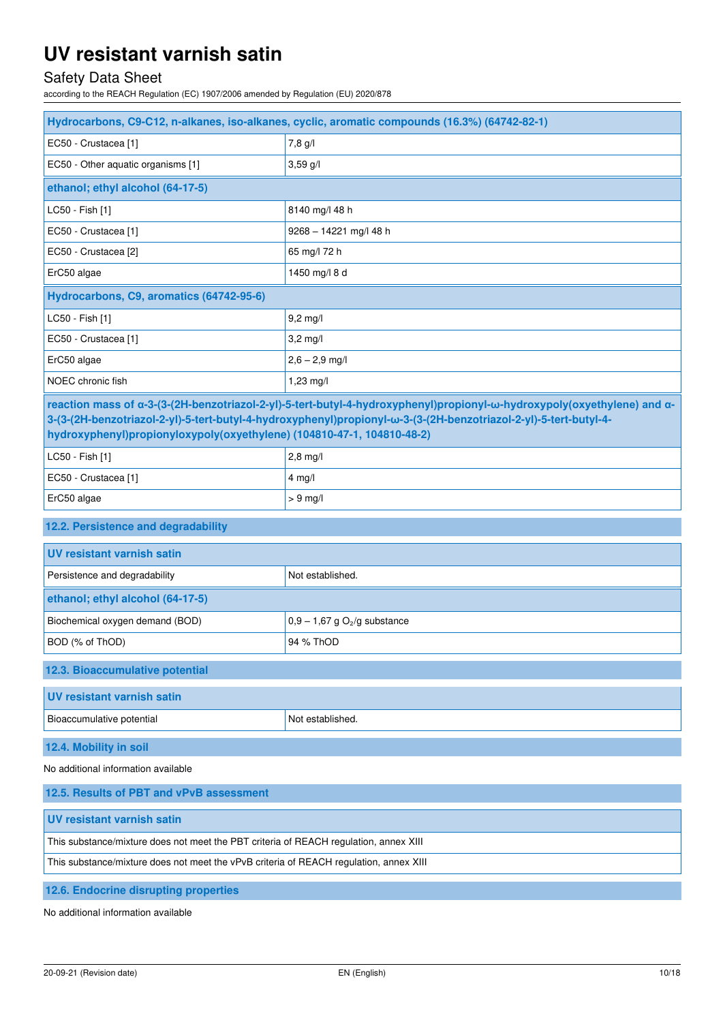# Safety Data Sheet

according to the REACH Regulation (EC) 1907/2006 amended by Regulation (EU) 2020/878

| Hydrocarbons, C9-C12, n-alkanes, iso-alkanes, cyclic, aromatic compounds (16.3%) (64742-82-1)                                                                                                                                                                                                                         |                                            |  |
|-----------------------------------------------------------------------------------------------------------------------------------------------------------------------------------------------------------------------------------------------------------------------------------------------------------------------|--------------------------------------------|--|
| EC50 - Crustacea [1]                                                                                                                                                                                                                                                                                                  | 7,8 g/l                                    |  |
| EC50 - Other aquatic organisms [1]                                                                                                                                                                                                                                                                                    | 3,59 g/l                                   |  |
| ethanol; ethyl alcohol (64-17-5)                                                                                                                                                                                                                                                                                      |                                            |  |
| LC50 - Fish [1]                                                                                                                                                                                                                                                                                                       | 8140 mg/l 48 h                             |  |
| EC50 - Crustacea [1]                                                                                                                                                                                                                                                                                                  | 9268 - 14221 mg/l 48 h                     |  |
| EC50 - Crustacea [2]                                                                                                                                                                                                                                                                                                  | 65 mg/l 72 h                               |  |
| ErC50 algae                                                                                                                                                                                                                                                                                                           | 1450 mg/l 8 d                              |  |
| Hydrocarbons, C9, aromatics (64742-95-6)                                                                                                                                                                                                                                                                              |                                            |  |
| LC50 - Fish [1]                                                                                                                                                                                                                                                                                                       | $9,2$ mg/l                                 |  |
| EC50 - Crustacea [1]                                                                                                                                                                                                                                                                                                  | $3,2$ mg/l                                 |  |
| ErC50 algae                                                                                                                                                                                                                                                                                                           | $2,6 - 2,9$ mg/l                           |  |
| NOEC chronic fish                                                                                                                                                                                                                                                                                                     | 1,23 mg/l                                  |  |
| reaction mass of α-3-(3-(2H-benzotriazol-2-yl)-5-tert-butyl-4-hydroxyphenyl)propionyl-ω-hydroxypoly(oxyethylene) and α-<br>3-(3-(2H-benzotriazol-2-yl)-5-tert-butyl-4-hydroxyphenyl)propionyl-w-3-(3-(2H-benzotriazol-2-yl)-5-tert-butyl-4-<br>hydroxyphenyl)propionyloxypoly(oxyethylene) (104810-47-1, 104810-48-2) |                                            |  |
| LC50 - Fish [1]                                                                                                                                                                                                                                                                                                       | $2,8$ mg/l                                 |  |
| EC50 - Crustacea [1]                                                                                                                                                                                                                                                                                                  | $4$ mg/l                                   |  |
| ErC50 algae                                                                                                                                                                                                                                                                                                           | $> 9$ mg/l                                 |  |
| 12.2. Persistence and degradability                                                                                                                                                                                                                                                                                   |                                            |  |
| <b>UV resistant varnish satin</b>                                                                                                                                                                                                                                                                                     |                                            |  |
| Persistence and degradability                                                                                                                                                                                                                                                                                         | Not established.                           |  |
| ethanol; ethyl alcohol (64-17-5)                                                                                                                                                                                                                                                                                      |                                            |  |
| Biochemical oxygen demand (BOD)                                                                                                                                                                                                                                                                                       | $0.9 - 1.67$ g O <sub>2</sub> /g substance |  |
| BOD (% of ThOD)                                                                                                                                                                                                                                                                                                       | 94 % ThOD                                  |  |
| 12.3. Bioaccumulative potential                                                                                                                                                                                                                                                                                       |                                            |  |
| <b>UV resistant varnish satin</b>                                                                                                                                                                                                                                                                                     |                                            |  |
| Bioaccumulative potential                                                                                                                                                                                                                                                                                             | Not established.                           |  |
| 12.4. Mobility in soil                                                                                                                                                                                                                                                                                                |                                            |  |
| No additional information available                                                                                                                                                                                                                                                                                   |                                            |  |
| 12.5. Results of PBT and vPvB assessment                                                                                                                                                                                                                                                                              |                                            |  |
| <b>UV resistant varnish satin</b>                                                                                                                                                                                                                                                                                     |                                            |  |
| This substance/mixture does not meet the PBT criteria of REACH regulation, annex XIII                                                                                                                                                                                                                                 |                                            |  |
| This substance/mixture does not meet the vPvB criteria of REACH regulation, annex XIII                                                                                                                                                                                                                                |                                            |  |
| 12.6. Endocrine disrupting properties                                                                                                                                                                                                                                                                                 |                                            |  |

No additional information available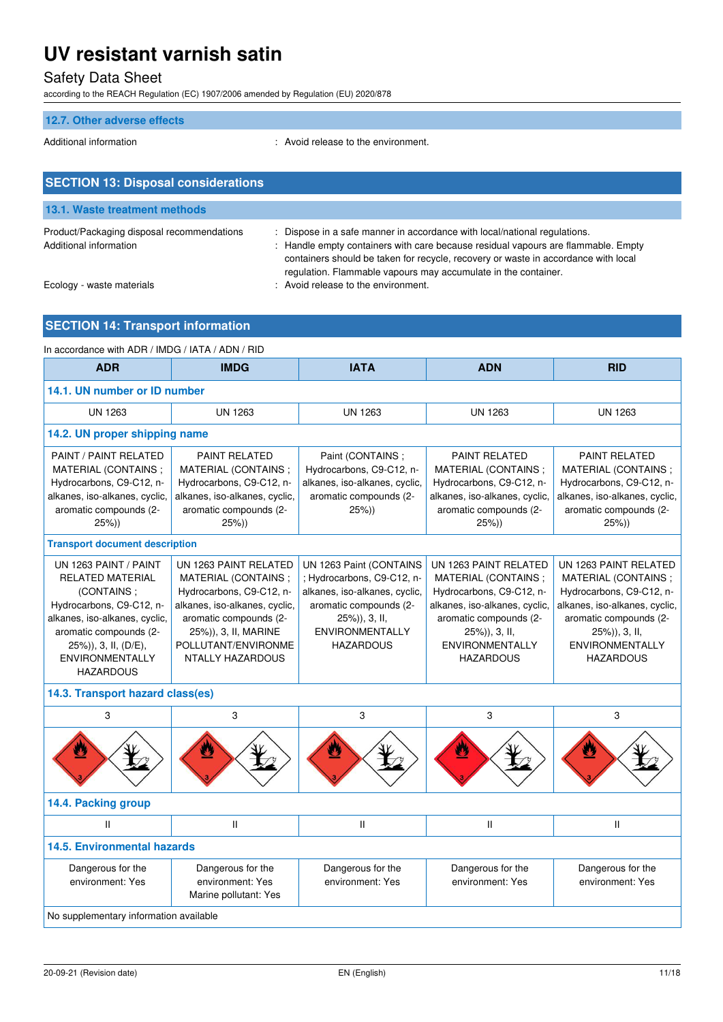# Safety Data Sheet

according to the REACH Regulation (EC) 1907/2006 amended by Regulation (EU) 2020/878

### **12.7. Other adverse effects**

Additional information entity and the environment.

| <b>SECTION 13: Disposal considerations</b>                           |                                                                                                                                                                                                                                                                                                                        |
|----------------------------------------------------------------------|------------------------------------------------------------------------------------------------------------------------------------------------------------------------------------------------------------------------------------------------------------------------------------------------------------------------|
| 13.1. Waste treatment methods                                        |                                                                                                                                                                                                                                                                                                                        |
| Product/Packaging disposal recommendations<br>Additional information | : Dispose in a safe manner in accordance with local/national regulations.<br>: Handle empty containers with care because residual vapours are flammable. Empty<br>containers should be taken for recycle, recovery or waste in accordance with local<br>regulation. Flammable vapours may accumulate in the container. |
| Ecology - waste materials                                            | : Avoid release to the environment.                                                                                                                                                                                                                                                                                    |

# **SECTION 14: Transport information**

| In accordance with ADR / IMDG / IATA / ADN / RID                                                                                                                                                                     |                                                                                                                                                                                                               |                                                                                                                                                                                 |                                                                                                                                                                                                    |                                                                                                                                                                                                    |
|----------------------------------------------------------------------------------------------------------------------------------------------------------------------------------------------------------------------|---------------------------------------------------------------------------------------------------------------------------------------------------------------------------------------------------------------|---------------------------------------------------------------------------------------------------------------------------------------------------------------------------------|----------------------------------------------------------------------------------------------------------------------------------------------------------------------------------------------------|----------------------------------------------------------------------------------------------------------------------------------------------------------------------------------------------------|
| <b>ADR</b>                                                                                                                                                                                                           | <b>IMDG</b>                                                                                                                                                                                                   | <b>IATA</b>                                                                                                                                                                     | <b>ADN</b>                                                                                                                                                                                         | <b>RID</b>                                                                                                                                                                                         |
| 14.1. UN number or ID number                                                                                                                                                                                         |                                                                                                                                                                                                               |                                                                                                                                                                                 |                                                                                                                                                                                                    |                                                                                                                                                                                                    |
| <b>UN 1263</b>                                                                                                                                                                                                       | <b>UN 1263</b>                                                                                                                                                                                                | <b>UN 1263</b>                                                                                                                                                                  | <b>UN 1263</b>                                                                                                                                                                                     | <b>UN 1263</b>                                                                                                                                                                                     |
| 14.2. UN proper shipping name                                                                                                                                                                                        |                                                                                                                                                                                                               |                                                                                                                                                                                 |                                                                                                                                                                                                    |                                                                                                                                                                                                    |
| PAINT / PAINT RELATED<br>MATERIAL (CONTAINS;<br>Hydrocarbons, C9-C12, n-<br>alkanes, iso-alkanes, cyclic,<br>aromatic compounds (2-<br>$25\%)$                                                                       | <b>PAINT RELATED</b><br>MATERIAL (CONTAINS;<br>Hydrocarbons, C9-C12, n-<br>alkanes, iso-alkanes, cyclic,<br>aromatic compounds (2-<br>25%)                                                                    | Paint (CONTAINS;<br>Hydrocarbons, C9-C12, n-<br>alkanes, iso-alkanes, cyclic,<br>aromatic compounds (2-<br>25%)                                                                 | <b>PAINT RELATED</b><br>MATERIAL (CONTAINS;<br>Hydrocarbons, C9-C12, n-<br>alkanes, iso-alkanes, cyclic,<br>aromatic compounds (2-<br>25%)                                                         | PAINT RELATED<br>MATERIAL (CONTAINS;<br>Hydrocarbons, C9-C12, n-<br>alkanes, iso-alkanes, cyclic,<br>aromatic compounds (2-<br>$25\%)$                                                             |
| <b>Transport document description</b>                                                                                                                                                                                |                                                                                                                                                                                                               |                                                                                                                                                                                 |                                                                                                                                                                                                    |                                                                                                                                                                                                    |
| UN 1263 PAINT / PAINT<br><b>RELATED MATERIAL</b><br>(CONTAINS;<br>Hydrocarbons, C9-C12, n-<br>alkanes, iso-alkanes, cyclic,<br>aromatic compounds (2-<br>25%)), 3, II, (D/E),<br>ENVIRONMENTALLY<br><b>HAZARDOUS</b> | UN 1263 PAINT RELATED<br>MATERIAL (CONTAINS;<br>Hydrocarbons, C9-C12, n-<br>alkanes, iso-alkanes, cyclic,<br>aromatic compounds (2-<br>25%)), 3, II, MARINE<br>POLLUTANT/ENVIRONME<br><b>NTALLY HAZARDOUS</b> | UN 1263 Paint (CONTAINS<br>; Hydrocarbons, C9-C12, n-<br>alkanes, iso-alkanes, cyclic,<br>aromatic compounds (2-<br>25%)), 3, II,<br><b>ENVIRONMENTALLY</b><br><b>HAZARDOUS</b> | UN 1263 PAINT RELATED<br>MATERIAL (CONTAINS;<br>Hydrocarbons, C9-C12, n-<br>alkanes, iso-alkanes, cyclic,<br>aromatic compounds (2-<br>25%)), 3, II,<br><b>ENVIRONMENTALLY</b><br><b>HAZARDOUS</b> | UN 1263 PAINT RELATED<br>MATERIAL (CONTAINS;<br>Hydrocarbons, C9-C12, n-<br>alkanes, iso-alkanes, cyclic,<br>aromatic compounds (2-<br>25%)), 3, II,<br><b>ENVIRONMENTALLY</b><br><b>HAZARDOUS</b> |
| 14.3. Transport hazard class(es)                                                                                                                                                                                     |                                                                                                                                                                                                               |                                                                                                                                                                                 |                                                                                                                                                                                                    |                                                                                                                                                                                                    |
| 3                                                                                                                                                                                                                    | 3                                                                                                                                                                                                             | 3                                                                                                                                                                               | 3                                                                                                                                                                                                  | 3                                                                                                                                                                                                  |
|                                                                                                                                                                                                                      |                                                                                                                                                                                                               |                                                                                                                                                                                 |                                                                                                                                                                                                    |                                                                                                                                                                                                    |
| 14.4. Packing group                                                                                                                                                                                                  |                                                                                                                                                                                                               |                                                                                                                                                                                 |                                                                                                                                                                                                    |                                                                                                                                                                                                    |
| $\mathsf{II}$                                                                                                                                                                                                        | $\mathbf{H}$                                                                                                                                                                                                  | $\mathbf{I}$                                                                                                                                                                    | $\mathbf{H}$                                                                                                                                                                                       | $\mathbf{II}$                                                                                                                                                                                      |
| <b>14.5. Environmental hazards</b>                                                                                                                                                                                   |                                                                                                                                                                                                               |                                                                                                                                                                                 |                                                                                                                                                                                                    |                                                                                                                                                                                                    |
| Dangerous for the<br>environment: Yes                                                                                                                                                                                | Dangerous for the<br>environment: Yes<br>Marine pollutant: Yes                                                                                                                                                | Dangerous for the<br>environment: Yes                                                                                                                                           | Dangerous for the<br>environment: Yes                                                                                                                                                              | Dangerous for the<br>environment: Yes                                                                                                                                                              |
| No supplementary information available                                                                                                                                                                               |                                                                                                                                                                                                               |                                                                                                                                                                                 |                                                                                                                                                                                                    |                                                                                                                                                                                                    |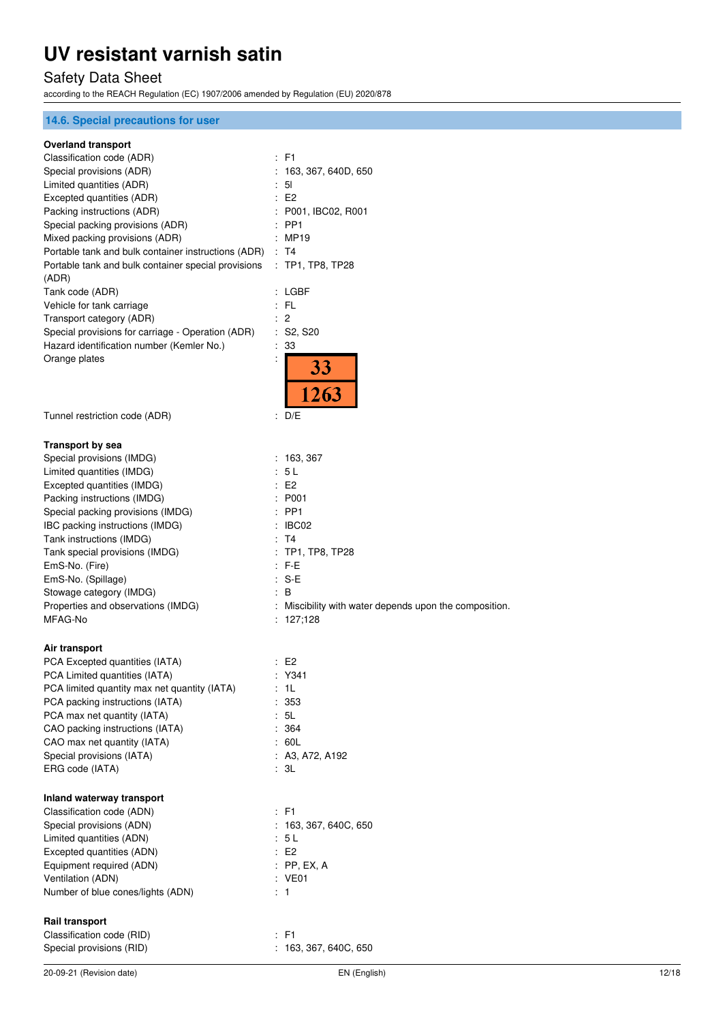# Safety Data Sheet

according to the REACH Regulation (EC) 1907/2006 amended by Regulation (EU) 2020/878

### **14.6. Special precautions for user**

#### **Overland transport**

| Classification code (ADR)                                                     | : F1                                                                |
|-------------------------------------------------------------------------------|---------------------------------------------------------------------|
| Special provisions (ADR)                                                      | 163, 367, 640D, 650                                                 |
| Limited quantities (ADR)                                                      | 5 <sub>l</sub>                                                      |
| Excepted quantities (ADR)                                                     | E2                                                                  |
| Packing instructions (ADR)                                                    | : P001, IBC02, R001                                                 |
| Special packing provisions (ADR)                                              | PP <sub>1</sub>                                                     |
| Mixed packing provisions (ADR)                                                | MP19                                                                |
| Portable tank and bulk container instructions (ADR)                           | : T4                                                                |
| Portable tank and bulk container special provisions : TP1, TP8, TP28<br>(ADR) |                                                                     |
| Tank code (ADR)                                                               | : LGBF                                                              |
| Vehicle for tank carriage                                                     | FL                                                                  |
| Transport category (ADR)                                                      | 2                                                                   |
| Special provisions for carriage - Operation (ADR)                             | S <sub>2</sub> , S <sub>20</sub>                                    |
| Hazard identification number (Kemler No.)                                     | 33                                                                  |
| Orange plates                                                                 | <b>33</b>                                                           |
|                                                                               | 1263                                                                |
| Tunnel restriction code (ADR)                                                 | ÷<br>D/E                                                            |
| Transport by sea                                                              |                                                                     |
| Special provisions (IMDG)                                                     | : 163,367                                                           |
| Limited quantities (IMDG)                                                     | 5 L                                                                 |
| Excepted quantities (IMDG)                                                    | : E2                                                                |
| Packing instructions (IMDG)                                                   | : P001                                                              |
| Special packing provisions (IMDG)                                             | : PP1                                                               |
| IBC packing instructions (IMDG)                                               | $\therefore$ IBC02                                                  |
| Tank instructions (IMDG)                                                      | : T4                                                                |
| Tank special provisions (IMDG)                                                | TP1, TP8, TP28                                                      |
| EmS-No. (Fire)                                                                | : F-E                                                               |
| EmS-No. (Spillage)                                                            | $S-E$                                                               |
| Stowage category (IMDG)                                                       | : B                                                                 |
| Properties and observations (IMDG)<br>MFAG-No                                 | : Miscibility with water depends upon the composition.<br>: 127,128 |
| Air transport                                                                 |                                                                     |
| PCA Excepted quantities (IATA)                                                | : E2                                                                |
| PCA Limited quantities (IATA)                                                 | Y341                                                                |
| PCA limited quantity max net quantity (IATA)                                  | 1L                                                                  |
| PCA packing instructions (IATA)                                               | 353                                                                 |
| PCA max net quantity (IATA)                                                   | : 5L                                                                |
| CAO packing instructions (IATA)                                               | : 364                                                               |
| CAO max net quantity (IATA)                                                   | : 60L                                                               |
| Special provisions (IATA)                                                     | : A3, A72, A192                                                     |
| ERG code (IATA)                                                               | : 3L                                                                |
| Inland waterway transport                                                     |                                                                     |
| Classification code (ADN)                                                     | : F1                                                                |
| Special provisions (ADN)                                                      | : 163, 367, 640C, 650                                               |
| Limited quantities (ADN)                                                      | : 5 L                                                               |
| Excepted quantities (ADN)                                                     | E2                                                                  |
| Equipment required (ADN)                                                      | $:$ PP, EX, A                                                       |
| Ventilation (ADN)                                                             | : VE01                                                              |
| Number of blue cones/lights (ADN)                                             | $\therefore$ 1                                                      |
| <b>Rail transport</b>                                                         |                                                                     |
| Classification code (RID)                                                     | $:$ F1                                                              |
| Special provisions (RID)                                                      | 163, 367, 640C, 650                                                 |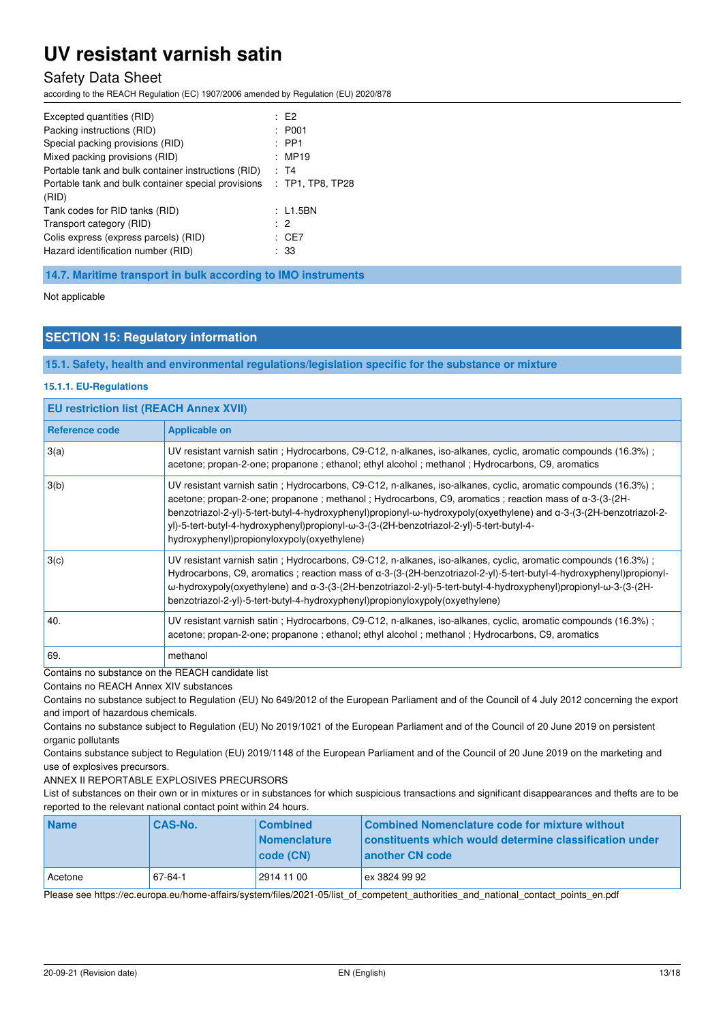### Safety Data Sheet

according to the REACH Regulation (EC) 1907/2006 amended by Regulation (EU) 2020/878

| Excepted quantities (RID)<br>Packing instructions (RID)<br>Special packing provisions (RID)<br>Mixed packing provisions (RID)             | $E^2$<br>: P <sub>001</sub><br>$:$ PP1<br>: MP19 |
|-------------------------------------------------------------------------------------------------------------------------------------------|--------------------------------------------------|
| Portable tank and bulk container instructions (RID)<br>Portable tank and bulk container special provisions<br>(RID)                       | : T4<br>$:$ TP1, TP8, TP28<br>: L1.5BN           |
| Tank codes for RID tanks (RID)<br>Transport category (RID)<br>Colis express (express parcels) (RID)<br>Hazard identification number (RID) | $\cdot$ 2<br>: CE7<br>: 33                       |

**14.7. Maritime transport in bulk according to IMO instruments** 

Not applicable

### **SECTION 15: Regulatory information**

**15.1. Safety, health and environmental regulations/legislation specific for the substance or mixture** 

#### **15.1.1. EU-Regulations**

| <b>EU restriction list (REACH Annex XVII)</b> |                                                                                                                                                                                                                                                                                                                                                                                                                                                                                                  |  |
|-----------------------------------------------|--------------------------------------------------------------------------------------------------------------------------------------------------------------------------------------------------------------------------------------------------------------------------------------------------------------------------------------------------------------------------------------------------------------------------------------------------------------------------------------------------|--|
| <b>Reference code</b>                         | <b>Applicable on</b>                                                                                                                                                                                                                                                                                                                                                                                                                                                                             |  |
| 3(a)                                          | UV resistant varnish satin; Hydrocarbons, C9-C12, n-alkanes, iso-alkanes, cyclic, aromatic compounds (16.3%);<br>acetone; propan-2-one; propanone; ethanol; ethyl alcohol; methanol; Hydrocarbons, C9, aromatics                                                                                                                                                                                                                                                                                 |  |
| 3(b)                                          | UV resistant varnish satin; Hydrocarbons, C9-C12, n-alkanes, iso-alkanes, cyclic, aromatic compounds (16.3%);<br>acetone; propan-2-one; propanone; methanol; Hydrocarbons, C9, aromatics; reaction mass of $\alpha$ -3-(3-(2H-<br>benzotriazol-2-yl)-5-tert-butyl-4-hydroxyphenyl)propionyl-ω-hydroxypoly(oxyethylene) and α-3-(3-(2H-benzotriazol-2-<br>yl)-5-tert-butyl-4-hydroxyphenyl)propionyl-ω-3-(3-(2H-benzotriazol-2-yl)-5-tert-butyl-4-<br>hydroxyphenyl)propionyloxypoly(oxyethylene) |  |
| 3(c)                                          | UV resistant varnish satin; Hydrocarbons, C9-C12, n-alkanes, iso-alkanes, cyclic, aromatic compounds (16.3%);<br>Hydrocarbons, C9, aromatics; reaction mass of a-3-(3-(2H-benzotriazol-2-yl)-5-tert-butyl-4-hydroxyphenyl)propionyl-<br>ω-hydroxypoly(oxyethylene) and α-3-(3-(2H-benzotriazol-2-yl)-5-tert-butyl-4-hydroxyphenyl)propionyl-ω-3-(3-(2H-<br>benzotriazol-2-yl)-5-tert-butyl-4-hydroxyphenyl)propionyloxypoly(oxyethylene)                                                         |  |
| 40.                                           | UV resistant varnish satin; Hydrocarbons, C9-C12, n-alkanes, iso-alkanes, cyclic, aromatic compounds (16.3%);<br>acetone; propan-2-one; propanone ; ethanol; ethyl alcohol; methanol; Hydrocarbons, C9, aromatics                                                                                                                                                                                                                                                                                |  |
| 69.                                           | methanol                                                                                                                                                                                                                                                                                                                                                                                                                                                                                         |  |

Contains no substance on the REACH candidate list

Contains no REACH Annex XIV substances

Contains no substance subject to Regulation (EU) No 649/2012 of the European Parliament and of the Council of 4 July 2012 concerning the export and import of hazardous chemicals.

Contains no substance subject to Regulation (EU) No 2019/1021 of the European Parliament and of the Council of 20 June 2019 on persistent organic pollutants

Contains substance subject to Regulation (EU) 2019/1148 of the European Parliament and of the Council of 20 June 2019 on the marketing and use of explosives precursors.

ANNEX II REPORTABLE EXPLOSIVES PRECURSORS

List of substances on their own or in mixtures or in substances for which suspicious transactions and significant disappearances and thefts are to be reported to the relevant national contact point within 24 hours.

| <b>Name</b> | <b>CAS-No.</b> | <b>Combined</b><br><b>Nomenclature</b><br>  code (CN) | Combined Nomenclature code for mixture without<br>constituents which would determine classification under<br>another CN code |
|-------------|----------------|-------------------------------------------------------|------------------------------------------------------------------------------------------------------------------------------|
| Acetone     | 67-64-1        | 2914 11 00                                            | ex 3824 99 92                                                                                                                |

Please see https://ec.europa.eu/home-affairs/system/files/2021-05/list\_of\_competent\_authorities\_and\_national\_contact\_points\_en.pdf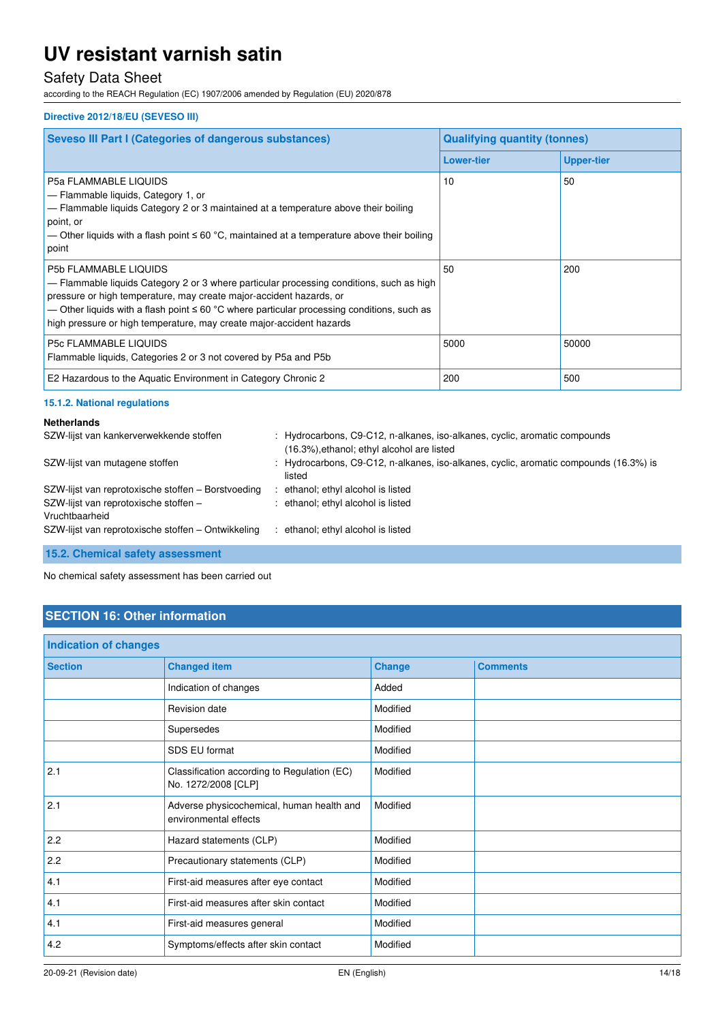# Safety Data Sheet

according to the REACH Regulation (EC) 1907/2006 amended by Regulation (EU) 2020/878

#### **Directive 2012/18/EU (SEVESO III)**

| <b>Seveso III Part I (Categories of dangerous substances)</b>                                                                                                                                                                                                                                                                                                              | <b>Qualifying quantity (tonnes)</b> |                   |  |
|----------------------------------------------------------------------------------------------------------------------------------------------------------------------------------------------------------------------------------------------------------------------------------------------------------------------------------------------------------------------------|-------------------------------------|-------------------|--|
|                                                                                                                                                                                                                                                                                                                                                                            | <b>Lower-tier</b>                   | <b>Upper-tier</b> |  |
| <b>P5a FLAMMABLE LIQUIDS</b><br>- Flammable liquids, Category 1, or<br>- Flammable liquids Category 2 or 3 maintained at a temperature above their boiling<br>point, or<br>— Other liquids with a flash point $\leq 60$ °C, maintained at a temperature above their boiling<br>point                                                                                       | 10                                  | 50                |  |
| <b>P5b FLAMMABLE LIQUIDS</b><br>- Flammable liquids Category 2 or 3 where particular processing conditions, such as high<br>pressure or high temperature, may create major-accident hazards, or<br>— Other liquids with a flash point $\leq 60$ °C where particular processing conditions, such as<br>high pressure or high temperature, may create major-accident hazards | 50                                  | 200               |  |
| <b>P5c FLAMMABLE LIQUIDS</b><br>Flammable liquids, Categories 2 or 3 not covered by P5a and P5b                                                                                                                                                                                                                                                                            | 5000                                | 50000             |  |
| E2 Hazardous to the Aquatic Environment in Category Chronic 2                                                                                                                                                                                                                                                                                                              | 200                                 | 500               |  |

#### **15.1.2. National regulations**

| <b>Netherlands</b>                                      |                                                                                                                          |
|---------------------------------------------------------|--------------------------------------------------------------------------------------------------------------------------|
| SZW-lijst van kankerverwekkende stoffen                 | : Hydrocarbons, C9-C12, n-alkanes, iso-alkanes, cyclic, aromatic compounds<br>(16.3%), ethanol; ethyl alcohol are listed |
| SZW-lijst van mutagene stoffen                          | : Hydrocarbons, C9-C12, n-alkanes, iso-alkanes, cyclic, aromatic compounds (16.3%) is<br>listed                          |
| SZW-lijst van reprotoxische stoffen – Borstvoeding      | : ethanol; ethyl alcohol is listed                                                                                       |
| SZW-lijst van reprotoxische stoffen -<br>Vruchtbaarheid | : ethanol; ethyl alcohol is listed                                                                                       |
| SZW-lijst van reprotoxische stoffen - Ontwikkeling      | : ethanol; ethyl alcohol is listed                                                                                       |

**15.2. Chemical safety assessment** 

No chemical safety assessment has been carried out

## **SECTION 16: Other information**

| Indication of changes |                                                                    |               |                 |
|-----------------------|--------------------------------------------------------------------|---------------|-----------------|
| <b>Section</b>        | <b>Changed item</b>                                                | <b>Change</b> | <b>Comments</b> |
|                       | Indication of changes                                              | Added         |                 |
|                       | Revision date                                                      | Modified      |                 |
|                       | Supersedes                                                         | Modified      |                 |
|                       | SDS EU format                                                      | Modified      |                 |
| 2.1                   | Classification according to Regulation (EC)<br>No. 1272/2008 [CLP] | Modified      |                 |
| 2.1                   | Adverse physicochemical, human health and<br>environmental effects | Modified      |                 |
| 2.2                   | Hazard statements (CLP)                                            | Modified      |                 |
| 2.2                   | Precautionary statements (CLP)                                     | Modified      |                 |
| 4.1                   | First-aid measures after eye contact                               | Modified      |                 |
| 4.1                   | First-aid measures after skin contact                              | Modified      |                 |
| 4.1                   | First-aid measures general                                         | Modified      |                 |
| 4.2                   | Symptoms/effects after skin contact                                | Modified      |                 |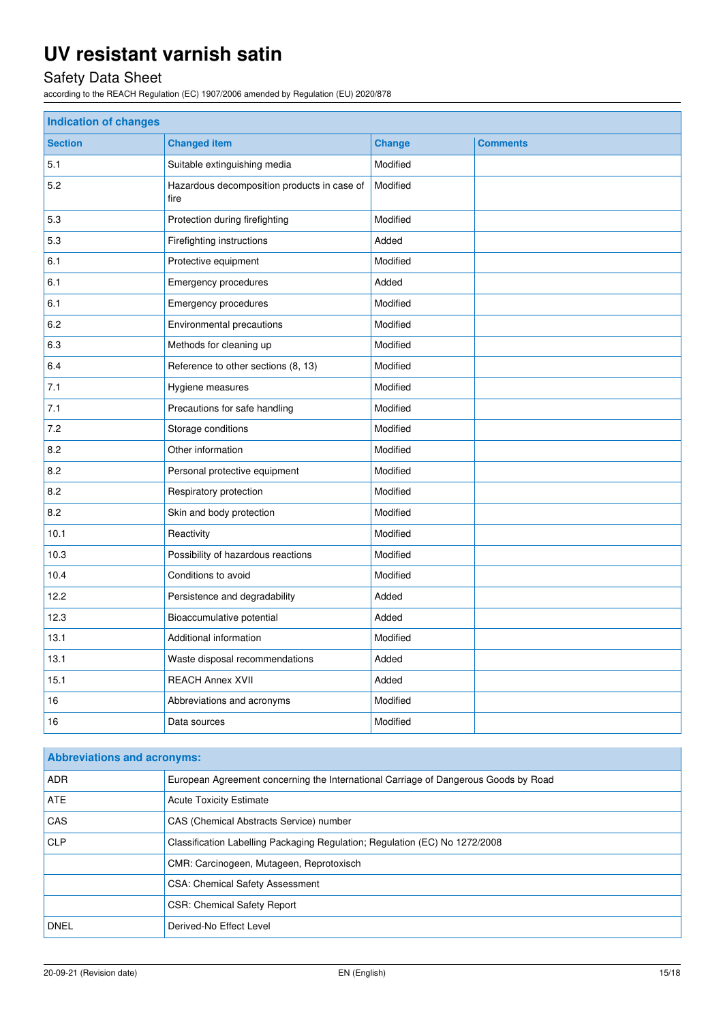# Safety Data Sheet

according to the REACH Regulation (EC) 1907/2006 amended by Regulation (EU) 2020/878

| <b>Indication of changes</b> |                                                     |               |                 |
|------------------------------|-----------------------------------------------------|---------------|-----------------|
| <b>Section</b>               | <b>Changed item</b>                                 | <b>Change</b> | <b>Comments</b> |
| 5.1                          | Suitable extinguishing media                        | Modified      |                 |
| 5.2                          | Hazardous decomposition products in case of<br>fire | Modified      |                 |
| 5.3                          | Protection during firefighting                      | Modified      |                 |
| 5.3                          | Firefighting instructions                           | Added         |                 |
| 6.1                          | Protective equipment                                | Modified      |                 |
| 6.1                          | Emergency procedures                                | Added         |                 |
| 6.1                          | <b>Emergency procedures</b>                         | Modified      |                 |
| 6.2                          | Environmental precautions                           | Modified      |                 |
| 6.3                          | Methods for cleaning up                             | Modified      |                 |
| 6.4                          | Reference to other sections (8, 13)                 | Modified      |                 |
| 7.1                          | Hygiene measures                                    | Modified      |                 |
| 7.1                          | Precautions for safe handling                       | Modified      |                 |
| 7.2                          | Storage conditions                                  | Modified      |                 |
| 8.2                          | Other information                                   | Modified      |                 |
| 8.2                          | Personal protective equipment                       | Modified      |                 |
| 8.2                          | Respiratory protection                              | Modified      |                 |
| 8.2                          | Skin and body protection                            | Modified      |                 |
| 10.1                         | Reactivity                                          | Modified      |                 |
| 10.3                         | Possibility of hazardous reactions                  |               |                 |
| 10.4                         | Conditions to avoid                                 | Modified      |                 |
| 12.2                         | Persistence and degradability                       | Added         |                 |
| 12.3                         | Bioaccumulative potential                           | Added         |                 |
| 13.1                         | Additional information                              | Modified      |                 |
| 13.1                         | Waste disposal recommendations                      | Added         |                 |
| 15.1                         | <b>REACH Annex XVII</b>                             | Added         |                 |
| 16                           | Abbreviations and acronyms                          | Modified      |                 |
| 16                           | Data sources                                        |               |                 |

| <b>Abbreviations and acronyms:</b> |                                                                                     |  |  |
|------------------------------------|-------------------------------------------------------------------------------------|--|--|
| <b>ADR</b>                         | European Agreement concerning the International Carriage of Dangerous Goods by Road |  |  |
| <b>ATE</b>                         | <b>Acute Toxicity Estimate</b>                                                      |  |  |
| <b>CAS</b>                         | CAS (Chemical Abstracts Service) number                                             |  |  |
| <b>CLP</b>                         | Classification Labelling Packaging Regulation; Regulation (EC) No 1272/2008         |  |  |
|                                    | CMR: Carcinogeen, Mutageen, Reprotoxisch                                            |  |  |
|                                    | <b>CSA: Chemical Safety Assessment</b>                                              |  |  |
|                                    | <b>CSR: Chemical Safety Report</b>                                                  |  |  |
| <b>DNEL</b>                        | Derived-No Effect Level                                                             |  |  |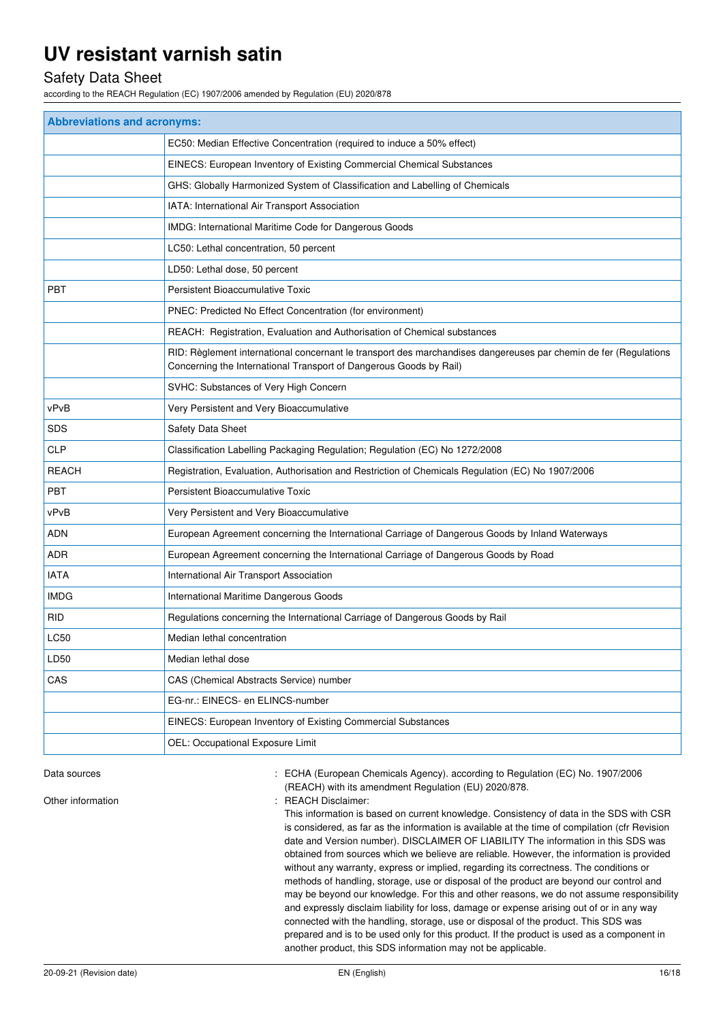### Safety Data Sheet

according to the REACH Regulation (EC) 1907/2006 amended by Regulation (EU) 2020/878

| <b>Abbreviations and acronyms:</b> |                                                                                                                                                                                        |  |  |
|------------------------------------|----------------------------------------------------------------------------------------------------------------------------------------------------------------------------------------|--|--|
|                                    | EC50: Median Effective Concentration (required to induce a 50% effect)                                                                                                                 |  |  |
|                                    | EINECS: European Inventory of Existing Commercial Chemical Substances                                                                                                                  |  |  |
|                                    | GHS: Globally Harmonized System of Classification and Labelling of Chemicals                                                                                                           |  |  |
|                                    | IATA: International Air Transport Association                                                                                                                                          |  |  |
|                                    | IMDG: International Maritime Code for Dangerous Goods                                                                                                                                  |  |  |
|                                    | LC50: Lethal concentration, 50 percent                                                                                                                                                 |  |  |
|                                    | LD50: Lethal dose, 50 percent                                                                                                                                                          |  |  |
| <b>PBT</b>                         | Persistent Bioaccumulative Toxic                                                                                                                                                       |  |  |
|                                    | PNEC: Predicted No Effect Concentration (for environment)                                                                                                                              |  |  |
|                                    | REACH: Registration, Evaluation and Authorisation of Chemical substances                                                                                                               |  |  |
|                                    | RID: Règlement international concernant le transport des marchandises dangereuses par chemin de fer (Regulations<br>Concerning the International Transport of Dangerous Goods by Rail) |  |  |
|                                    | SVHC: Substances of Very High Concern                                                                                                                                                  |  |  |
| vPvB                               | Very Persistent and Very Bioaccumulative                                                                                                                                               |  |  |
| <b>SDS</b>                         | Safety Data Sheet                                                                                                                                                                      |  |  |
| <b>CLP</b>                         | Classification Labelling Packaging Regulation; Regulation (EC) No 1272/2008                                                                                                            |  |  |
| <b>REACH</b>                       | Registration, Evaluation, Authorisation and Restriction of Chemicals Regulation (EC) No 1907/2006                                                                                      |  |  |
| <b>PBT</b>                         | Persistent Bioaccumulative Toxic                                                                                                                                                       |  |  |
| vPvB                               | Very Persistent and Very Bioaccumulative                                                                                                                                               |  |  |
| ADN                                | European Agreement concerning the International Carriage of Dangerous Goods by Inland Waterways                                                                                        |  |  |
| ADR                                | European Agreement concerning the International Carriage of Dangerous Goods by Road                                                                                                    |  |  |
| <b>IATA</b>                        | International Air Transport Association                                                                                                                                                |  |  |
| <b>IMDG</b>                        | International Maritime Dangerous Goods                                                                                                                                                 |  |  |
| <b>RID</b>                         | Regulations concerning the International Carriage of Dangerous Goods by Rail                                                                                                           |  |  |
| LC50                               | Median lethal concentration                                                                                                                                                            |  |  |
| LD50                               | Median lethal dose                                                                                                                                                                     |  |  |
| CAS                                | CAS (Chemical Abstracts Service) number                                                                                                                                                |  |  |
|                                    | EG-nr.: EINECS- en ELINCS-number                                                                                                                                                       |  |  |
|                                    | EINECS: European Inventory of Existing Commercial Substances                                                                                                                           |  |  |
|                                    | OEL: Occupational Exposure Limit                                                                                                                                                       |  |  |

Data sources **1997/2006** : ECHA (European Chemicals Agency). according to Regulation (EC) No. 1907/2006 (REACH) with its amendment Regulation (EU) 2020/878.

Other information  $\qquad \qquad$ : REACH Disclaimer:

This information is based on current knowledge. Consistency of data in the SDS with CSR is considered, as far as the information is available at the time of compilation (cfr Revision date and Version number). DISCLAIMER OF LIABILITY The information in this SDS was obtained from sources which we believe are reliable. However, the information is provided without any warranty, express or implied, regarding its correctness. The conditions or methods of handling, storage, use or disposal of the product are beyond our control and may be beyond our knowledge. For this and other reasons, we do not assume responsibility and expressly disclaim liability for loss, damage or expense arising out of or in any way connected with the handling, storage, use or disposal of the product. This SDS was prepared and is to be used only for this product. If the product is used as a component in another product, this SDS information may not be applicable.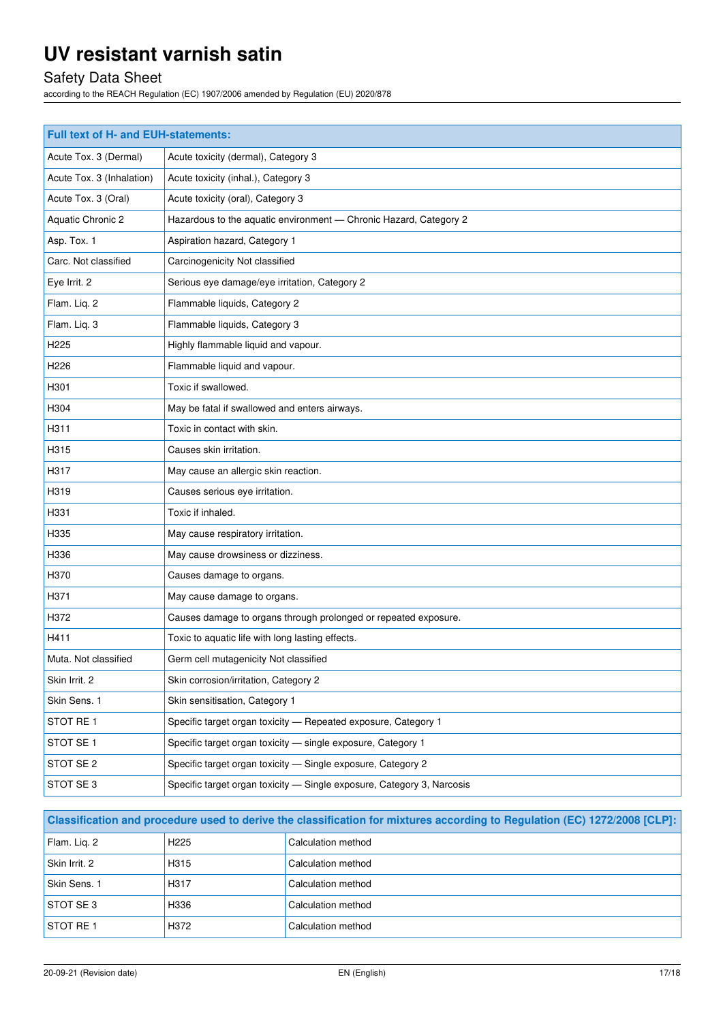# Safety Data Sheet

according to the REACH Regulation (EC) 1907/2006 amended by Regulation (EU) 2020/878

| Full text of H- and EUH-statements: |                                                                        |  |  |
|-------------------------------------|------------------------------------------------------------------------|--|--|
| Acute Tox. 3 (Dermal)               | Acute toxicity (dermal), Category 3                                    |  |  |
| Acute Tox. 3 (Inhalation)           | Acute toxicity (inhal.), Category 3                                    |  |  |
| Acute Tox. 3 (Oral)                 | Acute toxicity (oral), Category 3                                      |  |  |
| Aquatic Chronic 2                   | Hazardous to the aquatic environment - Chronic Hazard, Category 2      |  |  |
| Asp. Tox. 1                         | Aspiration hazard, Category 1                                          |  |  |
| Carc. Not classified                | Carcinogenicity Not classified                                         |  |  |
| Eye Irrit. 2                        | Serious eye damage/eye irritation, Category 2                          |  |  |
| Flam. Liq. 2                        | Flammable liquids, Category 2                                          |  |  |
| Flam. Liq. 3                        | Flammable liquids, Category 3                                          |  |  |
| H225                                | Highly flammable liquid and vapour.                                    |  |  |
| H226                                | Flammable liquid and vapour.                                           |  |  |
| H301                                | Toxic if swallowed.                                                    |  |  |
| H304                                | May be fatal if swallowed and enters airways.                          |  |  |
| H311                                | Toxic in contact with skin.                                            |  |  |
| H315                                | Causes skin irritation.                                                |  |  |
| H317                                | May cause an allergic skin reaction.                                   |  |  |
| H319                                | Causes serious eye irritation.                                         |  |  |
| H331                                | Toxic if inhaled.                                                      |  |  |
| H335                                | May cause respiratory irritation.                                      |  |  |
| H336                                | May cause drowsiness or dizziness.                                     |  |  |
| H370                                | Causes damage to organs.                                               |  |  |
| H371                                | May cause damage to organs.                                            |  |  |
| H372                                | Causes damage to organs through prolonged or repeated exposure.        |  |  |
| H411                                | Toxic to aquatic life with long lasting effects.                       |  |  |
| Muta. Not classified                | Germ cell mutagenicity Not classified                                  |  |  |
| Skin Irrit. 2                       | Skin corrosion/irritation, Category 2                                  |  |  |
| Skin Sens. 1                        | Skin sensitisation, Category 1                                         |  |  |
| STOT RE1                            | Specific target organ toxicity - Repeated exposure, Category 1         |  |  |
| STOT SE 1                           | Specific target organ toxicity - single exposure, Category 1           |  |  |
| STOT SE 2                           | Specific target organ toxicity - Single exposure, Category 2           |  |  |
| STOT SE 3                           | Specific target organ toxicity - Single exposure, Category 3, Narcosis |  |  |

| Classification and procedure used to derive the classification for mixtures according to Regulation (EC) 1272/2008 [CLP]: |                   |                    |
|---------------------------------------------------------------------------------------------------------------------------|-------------------|--------------------|
| Flam. Lig. 2                                                                                                              | H <sub>225</sub>  | Calculation method |
| Skin Irrit. 2                                                                                                             | H <sub>3</sub> 15 | Calculation method |
| Skin Sens. 1                                                                                                              | H317              | Calculation method |
| <b>STOT SE 3</b>                                                                                                          | H336              | Calculation method |
| <b>STOT RE1</b>                                                                                                           | H372              | Calculation method |